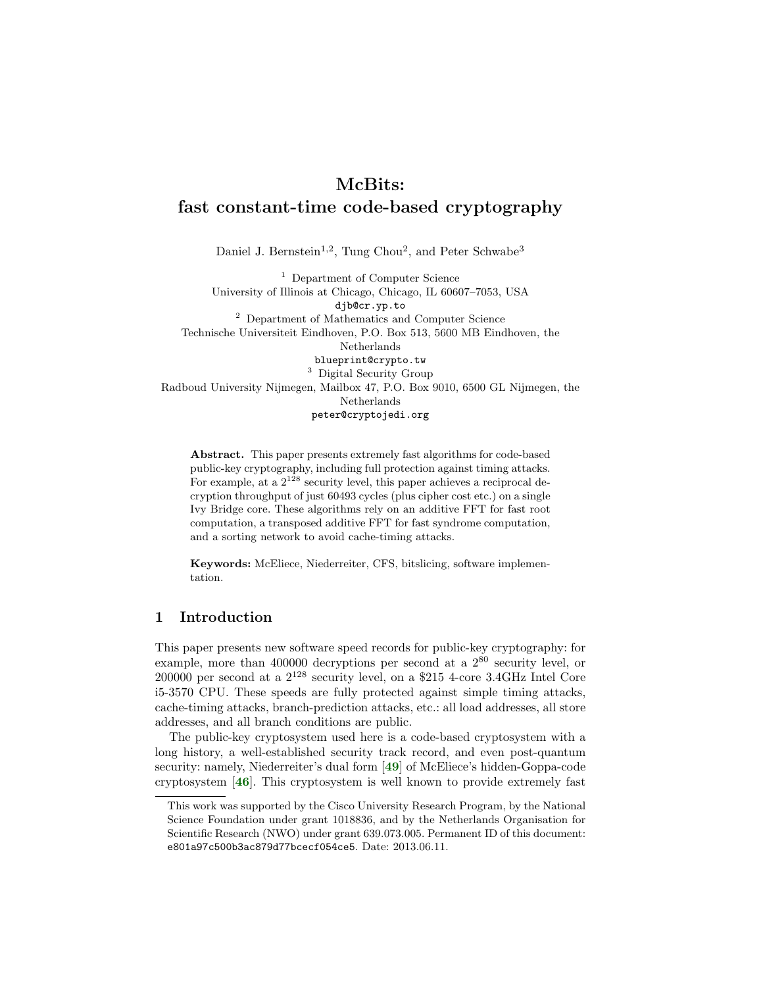# McBits: fast constant-time code-based cryptography

Daniel J. Bernstein<sup>1,2</sup>, Tung Chou<sup>2</sup>, and Peter Schwabe<sup>3</sup>

<sup>1</sup> Department of Computer Science University of Illinois at Chicago, Chicago, IL 60607–7053, USA djb@cr.yp.to <sup>2</sup> Department of Mathematics and Computer Science Technische Universiteit Eindhoven, P.O. Box 513, 5600 MB Eindhoven, the Netherlands blueprint@crypto.tw <sup>3</sup> Digital Security Group Radboud University Nijmegen, Mailbox 47, P.O. Box 9010, 6500 GL Nijmegen, the Netherlands peter@cryptojedi.org

Abstract. This paper presents extremely fast algorithms for code-based public-key cryptography, including full protection against timing attacks. For example, at a  $2^{128}$  security level, this paper achieves a reciprocal decryption throughput of just 60493 cycles (plus cipher cost etc.) on a single Ivy Bridge core. These algorithms rely on an additive FFT for fast root computation, a transposed additive FFT for fast syndrome computation, and a sorting network to avoid cache-timing attacks.

Keywords: McEliece, Niederreiter, CFS, bitslicing, software implementation.

## <span id="page-0-0"></span>1 Introduction

This paper presents new software speed records for public-key cryptography: for example, more than 400000 decryptions per second at a  $2^{80}$  security level, or  $200000$  per second at a  $2^{128}$  security level, on a \$215 4-core 3.4GHz Intel Core i5-3570 CPU. These speeds are fully protected against simple timing attacks, cache-timing attacks, branch-prediction attacks, etc.: all load addresses, all store addresses, and all branch conditions are public.

The public-key cryptosystem used here is a code-based cryptosystem with a long history, a well-established security track record, and even post-quantum security: namely, Niederreiter's dual form [[49](#page-22-0)] of McEliece's hidden-Goppa-code cryptosystem [[46](#page-22-1)]. This cryptosystem is well known to provide extremely fast

This work was supported by the Cisco University Research Program, by the National Science Foundation under grant 1018836, and by the Netherlands Organisation for Scientific Research (NWO) under grant 639.073.005. Permanent ID of this document: e801a97c500b3ac879d77bcecf054ce5. Date: 2013.06.11.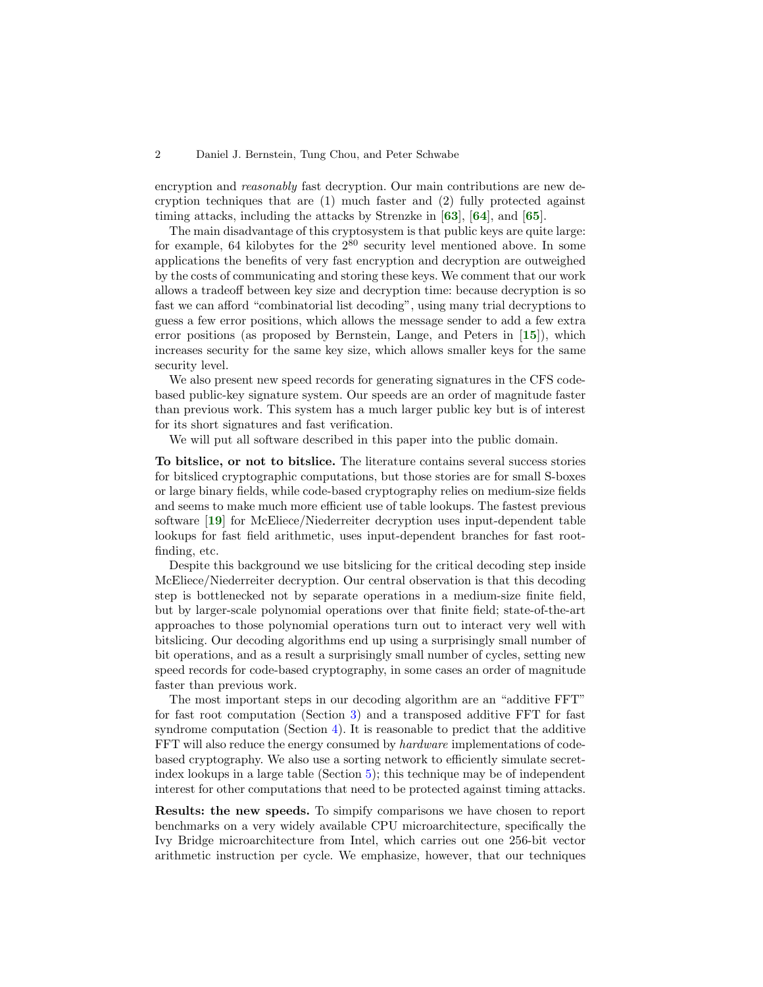encryption and *reasonably* fast decryption. Our main contributions are new decryption techniques that are (1) much faster and (2) fully protected against timing attacks, including the attacks by Strenzke in  $[63]$  $[63]$  $[63]$ ,  $[64]$  $[64]$  $[64]$ , and  $[65]$  $[65]$  $[65]$ .

The main disadvantage of this cryptosystem is that public keys are quite large: for example, 64 kilobytes for the  $2^{80}$  security level mentioned above. In some applications the benefits of very fast encryption and decryption are outweighed by the costs of communicating and storing these keys. We comment that our work allows a tradeoff between key size and decryption time: because decryption is so fast we can afford "combinatorial list decoding", using many trial decryptions to guess a few error positions, which allows the message sender to add a few extra error positions (as proposed by Bernstein, Lange, and Peters in [[15](#page-20-0)]), which increases security for the same key size, which allows smaller keys for the same security level.

We also present new speed records for generating signatures in the CFS codebased public-key signature system. Our speeds are an order of magnitude faster than previous work. This system has a much larger public key but is of interest for its short signatures and fast verification.

We will put all software described in this paper into the public domain.

To bitslice, or not to bitslice. The literature contains several success stories for bitsliced cryptographic computations, but those stories are for small S-boxes or large binary fields, while code-based cryptography relies on medium-size fields and seems to make much more efficient use of table lookups. The fastest previous software [[19](#page-20-1)] for McEliece/Niederreiter decryption uses input-dependent table lookups for fast field arithmetic, uses input-dependent branches for fast rootfinding, etc.

Despite this background we use bitslicing for the critical decoding step inside McEliece/Niederreiter decryption. Our central observation is that this decoding step is bottlenecked not by separate operations in a medium-size finite field, but by larger-scale polynomial operations over that finite field; state-of-the-art approaches to those polynomial operations turn out to interact very well with bitslicing. Our decoding algorithms end up using a surprisingly small number of bit operations, and as a result a surprisingly small number of cycles, setting new speed records for code-based cryptography, in some cases an order of magnitude faster than previous work.

The most important steps in our decoding algorithm are an "additive FFT" for fast root computation (Section [3\)](#page-5-0) and a transposed additive FFT for fast syndrome computation (Section [4\)](#page-8-0). It is reasonable to predict that the additive FFT will also reduce the energy consumed by *hardware* implementations of codebased cryptography. We also use a sorting network to efficiently simulate secretindex lookups in a large table (Section [5\)](#page-12-0); this technique may be of independent interest for other computations that need to be protected against timing attacks.

Results: the new speeds. To simpify comparisons we have chosen to report benchmarks on a very widely available CPU microarchitecture, specifically the Ivy Bridge microarchitecture from Intel, which carries out one 256-bit vector arithmetic instruction per cycle. We emphasize, however, that our techniques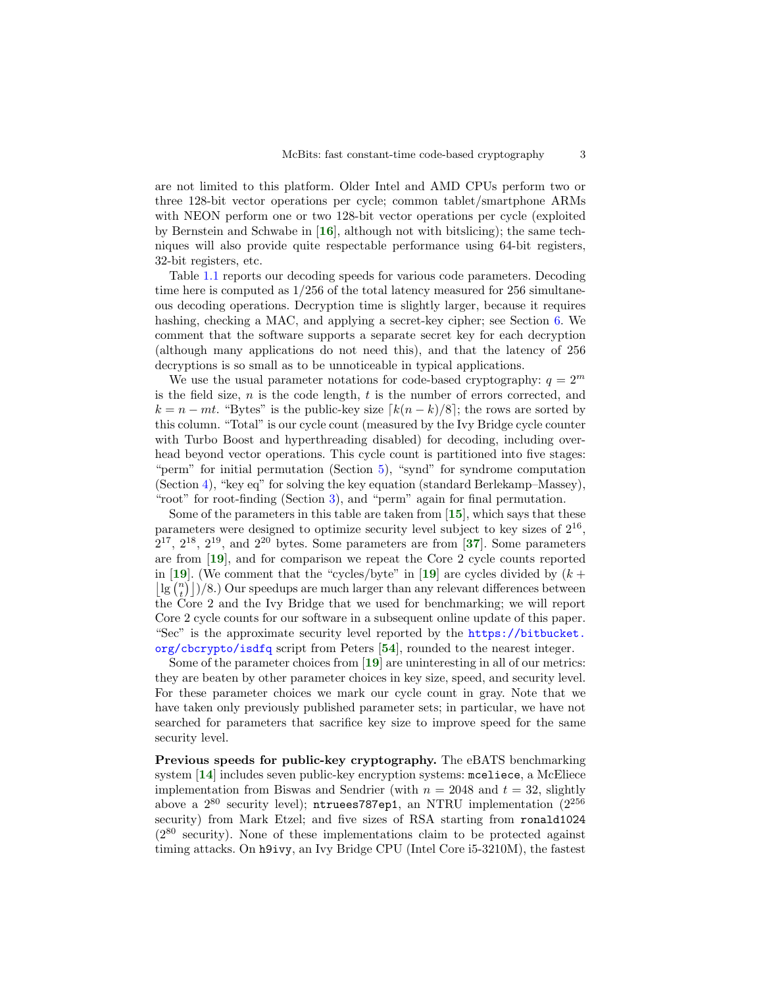are not limited to this platform. Older Intel and AMD CPUs perform two or three 128-bit vector operations per cycle; common tablet/smartphone ARMs with NEON perform one or two 128-bit vector operations per cycle (exploited by Bernstein and Schwabe in [[16](#page-20-2)], although not with bitslicing); the same techniques will also provide quite respectable performance using 64-bit registers, 32-bit registers, etc.

Table [1.1](#page-3-0) reports our decoding speeds for various code parameters. Decoding time here is computed as 1/256 of the total latency measured for 256 simultaneous decoding operations. Decryption time is slightly larger, because it requires hashing, checking a MAC, and applying a secret-key cipher; see Section [6.](#page-14-0) We comment that the software supports a separate secret key for each decryption (although many applications do not need this), and that the latency of 256 decryptions is so small as to be unnoticeable in typical applications.

We use the usual parameter notations for code-based cryptography:  $q = 2^m$ is the field size,  $n$  is the code length,  $t$  is the number of errors corrected, and  $k = n - mt$ . "Bytes" is the public-key size  $\lceil k(n - k)/8 \rceil$ ; the rows are sorted by this column. "Total" is our cycle count (measured by the Ivy Bridge cycle counter with Turbo Boost and hyperthreading disabled) for decoding, including overhead beyond vector operations. This cycle count is partitioned into five stages: "perm" for initial permutation (Section [5\)](#page-12-0), "synd" for syndrome computation (Section [4\)](#page-8-0), "key eq" for solving the key equation (standard Berlekamp–Massey), "root" for root-finding (Section [3\)](#page-5-0), and "perm" again for final permutation.

Some of the parameters in this table are taken from  $[15]$  $[15]$  $[15]$ , which says that these parameters were designed to optimize security level subject to key sizes of  $2^{16}$ ,  $2^{17}$ ,  $2^{18}$ ,  $2^{19}$ , and  $2^{20}$  bytes. Some parameters are from [[37](#page-21-0)]. Some parameters are from [[19](#page-20-1)], and for comparison we repeat the Core 2 cycle counts reported in [[19](#page-20-1)]. (We comment that the "cycles/byte" in [19] are cycles divided by  $(k +$  $\lfloor \lg {n \choose t} \rfloor/8$ .) Our speedups are much larger than any relevant differences between the Core 2 and the Ivy Bridge that we used for benchmarking; we will report Core 2 cycle counts for our software in a subsequent online update of this paper. "Sec" is the approximate security level reported by the [https://bitbucket.](https://bitbucket.org/cbcrypto/isdfq)  $\sigma$ g/cbcrypto/isdfq script from Peters [[54](#page-22-5)], rounded to the nearest integer.

Some of the parameter choices from [[19](#page-20-1)] are uninteresting in all of our metrics: they are beaten by other parameter choices in key size, speed, and security level. For these parameter choices we mark our cycle count in gray. Note that we have taken only previously published parameter sets; in particular, we have not searched for parameters that sacrifice key size to improve speed for the same security level.

Previous speeds for public-key cryptography. The eBATS benchmarking system [[14](#page-20-3)] includes seven public-key encryption systems: mceliece, a McEliece implementation from Biswas and Sendrier (with  $n = 2048$  and  $t = 32$ , slightly above a  $2^{80}$  security level); ntruees787ep1, an NTRU implementation  $(2^{256}$ security) from Mark Etzel; and five sizes of RSA starting from ronald1024  $(2^{80}$  security). None of these implementations claim to be protected against timing attacks. On h9ivy, an Ivy Bridge CPU (Intel Core i5-3210M), the fastest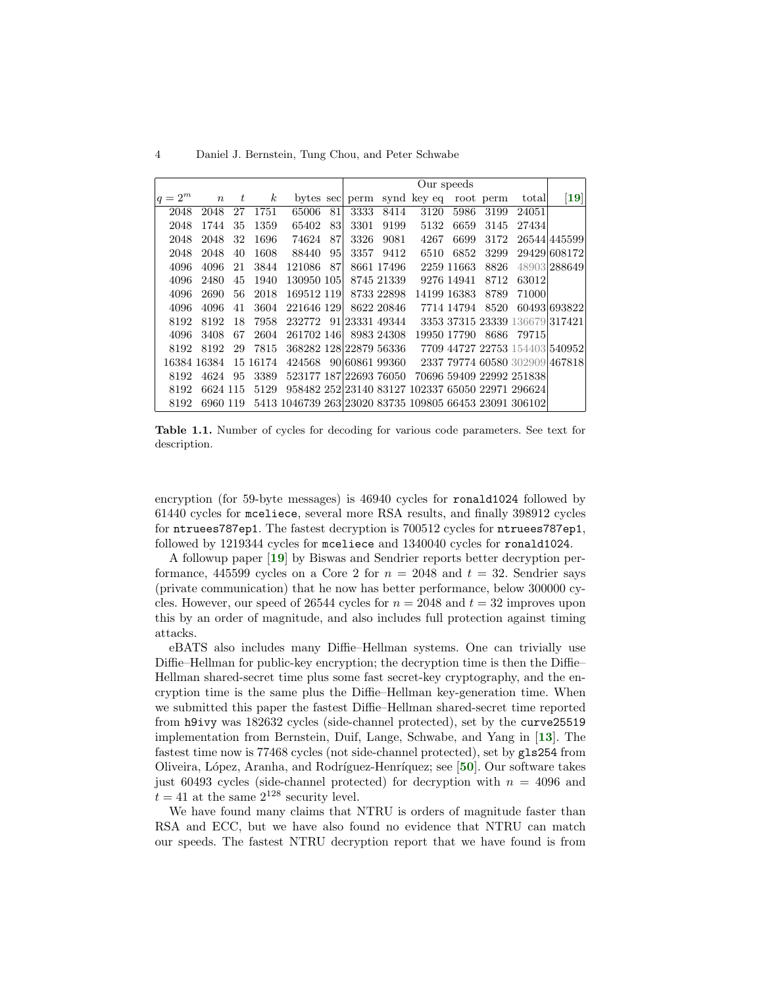4 Daniel J. Bernstein, Tung Chou, and Peter Schwabe

|           |             |    |                  |                                                        |    | Our speeds     |                |             |             |           |                                                  |                  |
|-----------|-------------|----|------------------|--------------------------------------------------------|----|----------------|----------------|-------------|-------------|-----------|--------------------------------------------------|------------------|
| $ q=2^m $ | $n \quad t$ |    | $\boldsymbol{k}$ |                                                        |    | bytes sec perm |                | synd key eq |             | root perm | total                                            | $\vert 19 \vert$ |
| 2048      | 2048        | 27 | 1751             | 65006                                                  | 81 | 3333           | 8414           | 3120        | 5986        | 3199      | 24051                                            |                  |
| 2048      | 1744        | 35 | 1359             | 65402                                                  | 83 | 3301           | 9199           | 5132        | 6659        | 3145      | 27434                                            |                  |
| 2048      | 2048        | 32 | 1696             | 74624                                                  | 87 | 3326           | 9081           | 4267        | 6699        | 3172      |                                                  | 26544 445599     |
| 2048      | 2048        | 40 | 1608             | 88440                                                  | 95 | 3357           | 9412           | 6510        | 6852        | 3299      |                                                  | 29429 608172     |
| 4096      | 4096        | 21 | 3844             | 121086                                                 | 87 |                | 8661 17496     |             | 2259 11663  | 8826      |                                                  | 48903 288649     |
| 4096      | 2480        | 45 | 1940             | 130950 105                                             |    |                | 8745 21339     |             | 9276 14941  | 8712      | 63012                                            |                  |
| 4096      | 2690        | 56 | 2018             | 169512 119                                             |    |                | 8733 22898     |             | 14199 16383 | 8789      | 71000                                            |                  |
| 4096      | 4096        | 41 | 3604             | 221646 129                                             |    |                | 8622 20846     |             | 7714 14794  | 8520      |                                                  | 60493 693822     |
| 8192      | 8192        | 18 | 7958             | 232772                                                 |    |                | 91 23331 49344 |             |             |           | 3353 37315 23339 136679 317421                   |                  |
| 4096      | 3408        | 67 | 2604             | 261702 146                                             |    |                | 8983 24308     |             | 19950 17790 | 8686      | 79715                                            |                  |
| 8192      | 8192        | 29 | 7815             | 368282 128 22879 56336                                 |    |                |                |             |             |           | 7709 44727 22753 154403 540952                   |                  |
|           | 16384 16384 |    | 15 16 174        | 424568                                                 |    |                | 90 60861 99360 |             |             |           | 2337 79774 60580 302909 467818                   |                  |
| 8192      | 4624        | 95 | 3389             | 523177 187 22693 76050                                 |    |                |                |             |             |           | 70696 59409 22992 251838                         |                  |
| 8192      | 6624 115    |    | 5129             |                                                        |    |                |                |             |             |           | 958482 252 23140 83127 102337 65050 22971 296624 |                  |
| 8192      | 6960 119    |    |                  | 5413 1046739 263 23020 83735 109805 66453 23091 306102 |    |                |                |             |             |           |                                                  |                  |

<span id="page-3-0"></span>Table 1.1. Number of cycles for decoding for various code parameters. See text for description.

encryption (for 59-byte messages) is 46940 cycles for ronald1024 followed by 61440 cycles for mceliece, several more RSA results, and finally 398912 cycles for ntruees787ep1. The fastest decryption is 700512 cycles for ntruees787ep1, followed by 1219344 cycles for mceliece and 1340040 cycles for ronald1024.

A followup paper [[19](#page-20-1)] by Biswas and Sendrier reports better decryption performance, 445599 cycles on a Core 2 for  $n = 2048$  and  $t = 32$ . Sendrier says (private communication) that he now has better performance, below 300000 cycles. However, our speed of 26544 cycles for  $n = 2048$  and  $t = 32$  improves upon this by an order of magnitude, and also includes full protection against timing attacks.

eBATS also includes many Diffie–Hellman systems. One can trivially use Diffie–Hellman for public-key encryption; the decryption time is then the Diffie– Hellman shared-secret time plus some fast secret-key cryptography, and the encryption time is the same plus the Diffie–Hellman key-generation time. When we submitted this paper the fastest Diffie–Hellman shared-secret time reported from h9ivy was 182632 cycles (side-channel protected), set by the curve25519 implementation from Bernstein, Duif, Lange, Schwabe, and Yang in [[13](#page-20-4)]. The fastest time now is 77468 cycles (not side-channel protected), set by gls254 from Oliveira, López, Aranha, and Rodríguez-Henríquez; see [[50](#page-22-6)]. Our software takes just 60493 cycles (side-channel protected) for decryption with  $n = 4096$  and  $t = 41$  at the same  $2^{128}$  security level.

We have found many claims that NTRU is orders of magnitude faster than RSA and ECC, but we have also found no evidence that NTRU can match our speeds. The fastest NTRU decryption report that we have found is from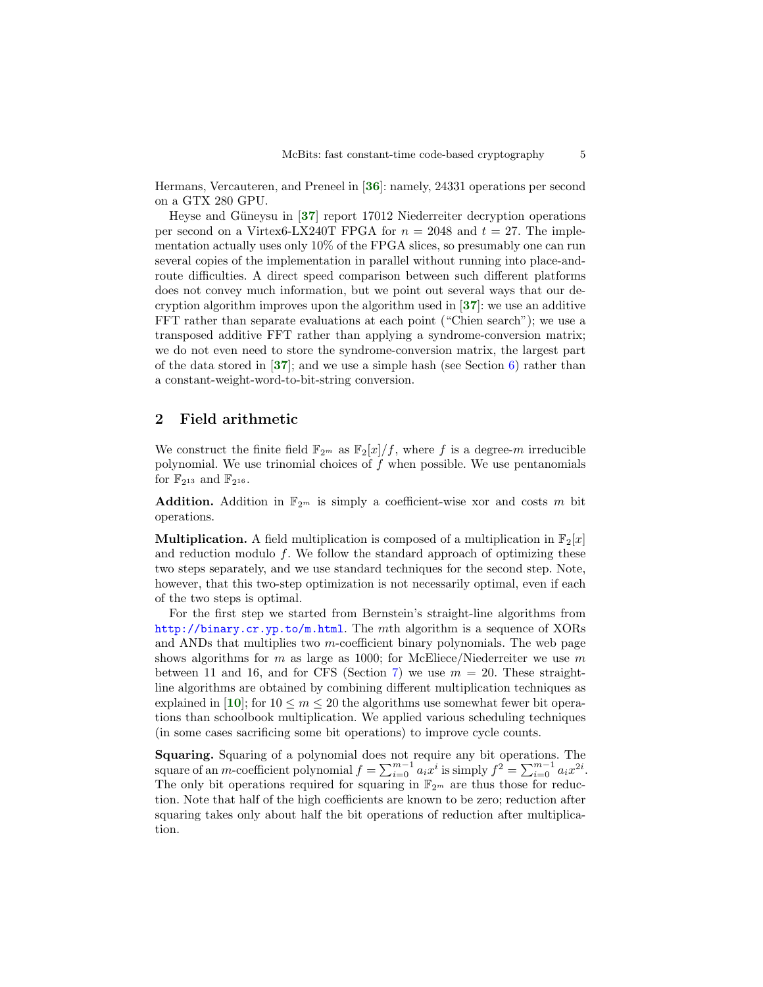Hermans, Vercauteren, and Preneel in [[36](#page-21-1)]: namely, 24331 operations per second on a GTX 280 GPU.

Heyse and Güneysu in  $\left[37\right]$  $\left[37\right]$  $\left[37\right]$  report 17012 Niederreiter decryption operations per second on a Virtex6-LX240T FPGA for  $n = 2048$  and  $t = 27$ . The implementation actually uses only 10% of the FPGA slices, so presumably one can run several copies of the implementation in parallel without running into place-androute difficulties. A direct speed comparison between such different platforms does not convey much information, but we point out several ways that our decryption algorithm improves upon the algorithm used in  $[37]$  $[37]$  $[37]$ : we use an additive FFT rather than separate evaluations at each point ("Chien search"); we use a transposed additive FFT rather than applying a syndrome-conversion matrix; we do not even need to store the syndrome-conversion matrix, the largest part of the data stored in  $[37]$  $[37]$  $[37]$ ; and we use a simple hash (see Section [6\)](#page-14-0) rather than a constant-weight-word-to-bit-string conversion.

## 2 Field arithmetic

We construct the finite field  $\mathbb{F}_{2^m}$  as  $\mathbb{F}_2[x]/f$ , where f is a degree-m irreducible polynomial. We use trinomial choices of  $f$  when possible. We use pentanomials for  $\mathbb{F}_{2^{13}}$  and  $\mathbb{F}_{2^{16}}$ .

**Addition.** Addition in  $\mathbb{F}_{2^m}$  is simply a coefficient-wise xor and costs m bit operations.

**Multiplication.** A field multiplication is composed of a multiplication in  $\mathbb{F}_2[x]$ and reduction modulo  $f$ . We follow the standard approach of optimizing these two steps separately, and we use standard techniques for the second step. Note, however, that this two-step optimization is not necessarily optimal, even if each of the two steps is optimal.

For the first step we started from Bernstein's straight-line algorithms from <http://binary.cr.yp.to/m.html>. The mth algorithm is a sequence of XORs and ANDs that multiplies two  $m$ -coefficient binary polynomials. The web page shows algorithms for  $m$  as large as 1000; for McEliece/Niederreiter we use  $m$ between 11 and 16, and for CFS (Section [7\)](#page-17-0) we use  $m = 20$ . These straightline algorithms are obtained by combining different multiplication techniques as explained in [[10](#page-20-5)]; for  $10 \le m \le 20$  the algorithms use somewhat fewer bit operations than schoolbook multiplication. We applied various scheduling techniques (in some cases sacrificing some bit operations) to improve cycle counts.

Squaring. Squaring of a polynomial does not require any bit operations. The square of an *m*-coefficient polynomial  $f = \sum_{i=0}^{m-1} a_i x^i$  is simply  $f^2 = \sum_{i=0}^{m-1} a_i x^{2i}$ . The only bit operations required for squaring in  $\mathbb{F}_{2^m}$  are thus those for reduction. Note that half of the high coefficients are known to be zero; reduction after squaring takes only about half the bit operations of reduction after multiplication.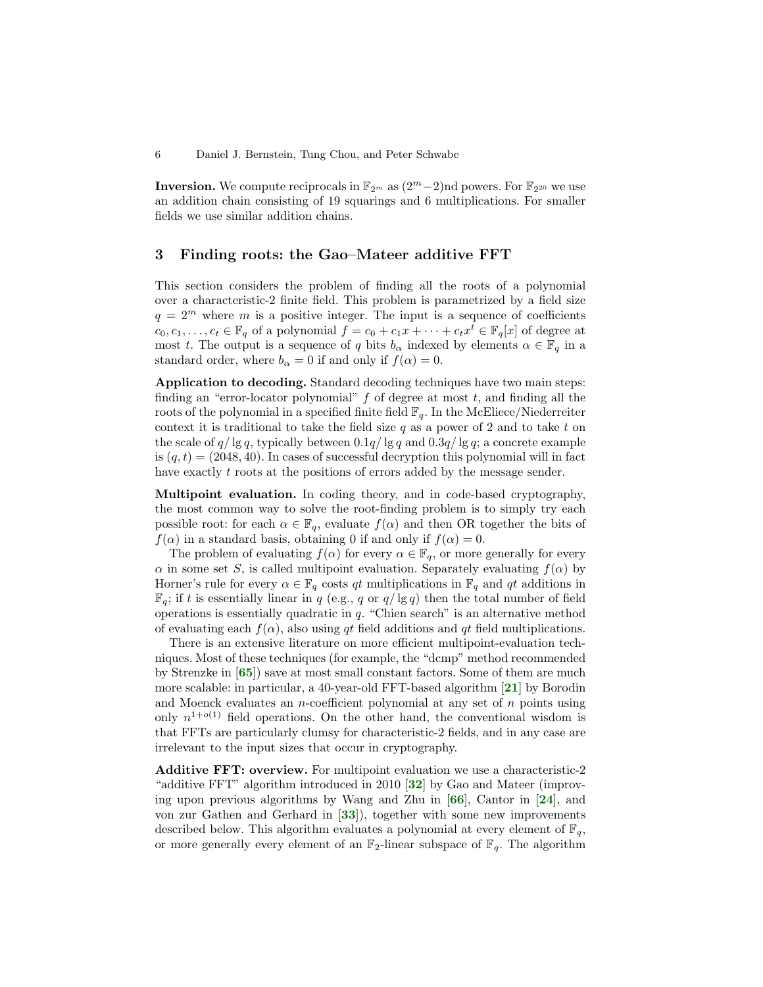**Inversion.** We compute reciprocals in  $\mathbb{F}_{2^m}$  as  $(2^m-2)$ nd powers. For  $\mathbb{F}_{2^{20}}$  we use an addition chain consisting of 19 squarings and 6 multiplications. For smaller fields we use similar addition chains.

## <span id="page-5-0"></span>3 Finding roots: the Gao–Mateer additive FFT

This section considers the problem of finding all the roots of a polynomial over a characteristic-2 finite field. This problem is parametrized by a field size  $q = 2^m$  where m is a positive integer. The input is a sequence of coefficients  $c_0, c_1, \ldots, c_t \in \mathbb{F}_q$  of a polynomial  $f = c_0 + c_1x + \cdots + c_tx^{\overline{t}} \in \mathbb{F}_q[x]$  of degree at most t. The output is a sequence of q bits  $b_{\alpha}$  indexed by elements  $\alpha \in \mathbb{F}_q$  in a standard order, where  $b_{\alpha} = 0$  if and only if  $f(\alpha) = 0$ .

Application to decoding. Standard decoding techniques have two main steps: finding an "error-locator polynomial"  $f$  of degree at most  $t$ , and finding all the roots of the polynomial in a specified finite field  $\mathbb{F}_q$ . In the McEliece/Niederreiter context it is traditional to take the field size  $q$  as a power of 2 and to take t on the scale of  $q/\lg q$ , typically between  $0.1q/\lg q$  and  $0.3q/\lg q$ ; a concrete example is  $(q, t) = (2048, 40)$ . In cases of successful decryption this polynomial will in fact have exactly t roots at the positions of errors added by the message sender.

Multipoint evaluation. In coding theory, and in code-based cryptography, the most common way to solve the root-finding problem is to simply try each possible root: for each  $\alpha \in \mathbb{F}_q$ , evaluate  $f(\alpha)$  and then OR together the bits of  $f(\alpha)$  in a standard basis, obtaining 0 if and only if  $f(\alpha) = 0$ .

The problem of evaluating  $f(\alpha)$  for every  $\alpha \in \mathbb{F}_q$ , or more generally for every  $\alpha$  in some set S, is called multipoint evaluation. Separately evaluating  $f(\alpha)$  by Horner's rule for every  $\alpha \in \mathbb{F}_q$  costs  $qt$  multiplications in  $\mathbb{F}_q$  and  $qt$  additions in  $\mathbb{F}_q$ ; if t is essentially linear in q (e.g., q or  $q/\lg q$ ) then the total number of field operations is essentially quadratic in q. "Chien search" is an alternative method of evaluating each  $f(\alpha)$ , also using qt field additions and qt field multiplications.

There is an extensive literature on more efficient multipoint-evaluation techniques. Most of these techniques (for example, the "dcmp" method recommended by Strenzke in  $[65]$  $[65]$  $[65]$  save at most small constant factors. Some of them are much more scalable: in particular, a 40-year-old FFT-based algorithm  $[21]$  $[21]$  $[21]$  by Borodin and Moenck evaluates an *n*-coefficient polynomial at any set of  $n$  points using only  $n^{1+o(1)}$  field operations. On the other hand, the conventional wisdom is that FFTs are particularly clumsy for characteristic-2 fields, and in any case are irrelevant to the input sizes that occur in cryptography.

Additive FFT: overview. For multipoint evaluation we use a characteristic-2 "additive FFT" algorithm introduced in 2010 [[32](#page-21-2)] by Gao and Mateer (improving upon previous algorithms by Wang and Zhu in [[66](#page-22-7)], Cantor in [[24](#page-20-7)], and von zur Gathen and Gerhard in [[33](#page-21-3)]), together with some new improvements described below. This algorithm evaluates a polynomial at every element of  $\mathbb{F}_q$ , or more generally every element of an  $\mathbb{F}_2$ -linear subspace of  $\mathbb{F}_q$ . The algorithm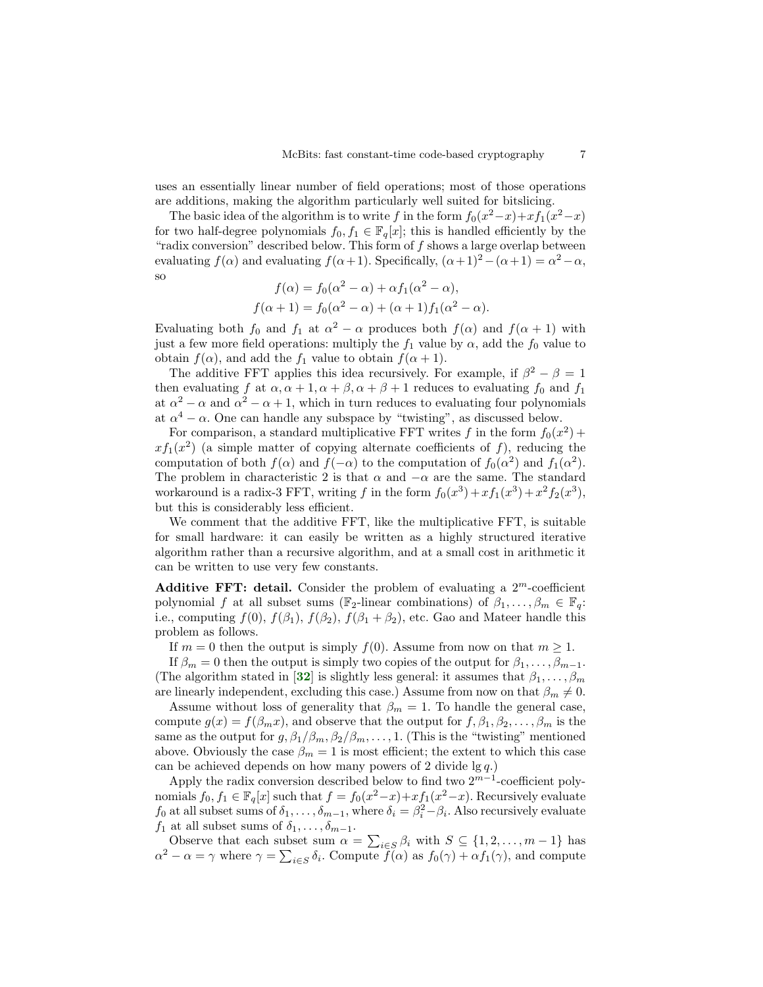uses an essentially linear number of field operations; most of those operations are additions, making the algorithm particularly well suited for bitslicing.

The basic idea of the algorithm is to write f in the form  $f_0(x^2-x)+xf_1(x^2-x)$ for two half-degree polynomials  $f_0, f_1 \in \mathbb{F}_q[x]$ ; this is handled efficiently by the "radix conversion" described below. This form of  $f$  shows a large overlap between evaluating  $f(\alpha)$  and evaluating  $f(\alpha+1)$ . Specifically,  $(\alpha+1)^2 - (\alpha+1) = \alpha^2 - \alpha$ , so

$$
f(\alpha) = f_0(\alpha^2 - \alpha) + \alpha f_1(\alpha^2 - \alpha),
$$
  

$$
f(\alpha + 1) = f_0(\alpha^2 - \alpha) + (\alpha + 1)f_1(\alpha^2 - \alpha).
$$

Evaluating both  $f_0$  and  $f_1$  at  $\alpha^2 - \alpha$  produces both  $f(\alpha)$  and  $f(\alpha + 1)$  with just a few more field operations: multiply the  $f_1$  value by  $\alpha$ , add the  $f_0$  value to obtain  $f(\alpha)$ , and add the  $f_1$  value to obtain  $f(\alpha + 1)$ .

The additive FFT applies this idea recursively. For example, if  $\beta^2 - \beta = 1$ then evaluating f at  $\alpha, \alpha + 1, \alpha + \beta, \alpha + \beta + 1$  reduces to evaluating  $f_0$  and  $f_1$ at  $\alpha^2 - \alpha$  and  $\alpha^2 - \alpha + 1$ , which in turn reduces to evaluating four polynomials at  $\alpha^4 - \alpha$ . One can handle any subspace by "twisting", as discussed below.

For comparison, a standard multiplicative FFT writes f in the form  $f_0(x^2)$  +  $xf_1(x^2)$  (a simple matter of copying alternate coefficients of f), reducing the computation of both  $f(\alpha)$  and  $f(-\alpha)$  to the computation of  $f_0(\alpha^2)$  and  $f_1(\alpha^2)$ . The problem in characteristic 2 is that  $\alpha$  and  $-\alpha$  are the same. The standard workaround is a radix-3 FFT, writing f in the form  $f_0(x^3) + xf_1(x^3) + x^2f_2(x^3)$ , but this is considerably less efficient.

We comment that the additive FFT, like the multiplicative FFT, is suitable for small hardware: it can easily be written as a highly structured iterative algorithm rather than a recursive algorithm, and at a small cost in arithmetic it can be written to use very few constants.

Additive FFT: detail. Consider the problem of evaluating a  $2^m$ -coefficient polynomial f at all subset sums ( $\mathbb{F}_2$ -linear combinations) of  $\beta_1, \ldots, \beta_m \in \mathbb{F}_q$ : i.e., computing  $f(0)$ ,  $f(\beta_1)$ ,  $f(\beta_2)$ ,  $f(\beta_1 + \beta_2)$ , etc. Gao and Mateer handle this problem as follows.

If  $m = 0$  then the output is simply  $f(0)$ . Assume from now on that  $m \geq 1$ .

If  $\beta_m = 0$  then the output is simply two copies of the output for  $\beta_1, \ldots, \beta_{m-1}$ . (The algorithm stated in [[32](#page-21-2)] is slightly less general: it assumes that  $\beta_1, \ldots, \beta_m$ are linearly independent, excluding this case.) Assume from now on that  $\beta_m \neq 0$ .

Assume without loss of generality that  $\beta_m = 1$ . To handle the general case, compute  $g(x) = f(\beta_m x)$ , and observe that the output for  $f, \beta_1, \beta_2, \ldots, \beta_m$  is the same as the output for  $g, \beta_1/\beta_m, \beta_2/\beta_m, \ldots, 1$ . (This is the "twisting" mentioned above. Obviously the case  $\beta_m = 1$  is most efficient; the extent to which this case can be achieved depends on how many powers of 2 divide  $\lg q$ .)

Apply the radix conversion described below to find two  $2^{m-1}$ -coefficient polynomials  $f_0, f_1 \in \mathbb{F}_q[x]$  such that  $f = f_0(x^2 - x) + xf_1(x^2 - x)$ . Recursively evaluate  $f_0$  at all subset sums of  $\delta_1, \ldots, \delta_{m-1}$ , where  $\delta_i = \beta_i^2 - \beta_i$ . Also recursively evaluate  $f_1$  at all subset sums of  $\delta_1, \ldots, \delta_{m-1}$ .

Observe that each subset sum  $\alpha = \sum_{i \in S} \beta_i$  with  $S \subseteq \{1, 2, ..., m-1\}$  has  $\alpha^2 - \alpha = \gamma$  where  $\gamma = \sum_{i \in S} \delta_i$ . Compute  $\tilde{f}(\alpha)$  as  $f_0(\gamma) + \alpha f_1(\gamma)$ , and compute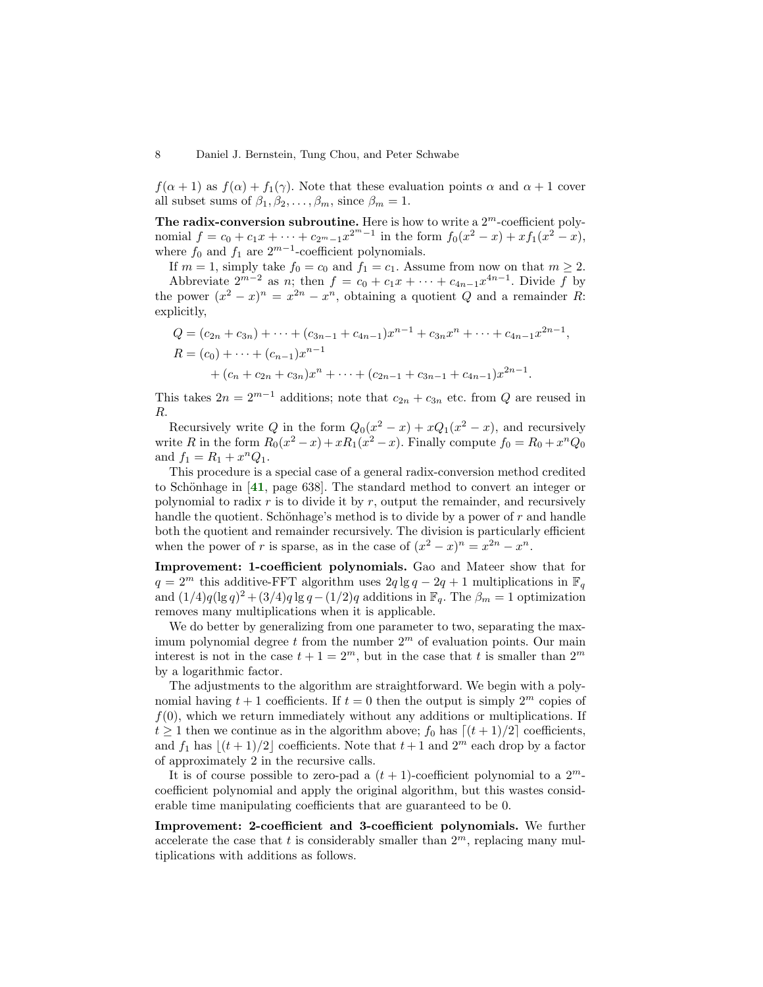$f(\alpha + 1)$  as  $f(\alpha) + f_1(\gamma)$ . Note that these evaluation points  $\alpha$  and  $\alpha + 1$  cover all subset sums of  $\beta_1, \beta_2, \dots, \beta_m$ , since  $\beta_m = 1$ .

The radix-conversion subroutine. Here is how to write a  $2^m$ -coefficient polynomial  $f = c_0 + c_1 x + \cdots + c_{2^m-1} x^{2^m-1}$  in the form  $f_0(x^2 - x) + x f_1(x^2 - x)$ , where  $f_0$  and  $f_1$  are  $2^{m-1}$ -coefficient polynomials.

If  $m = 1$ , simply take  $f_0 = c_0$  and  $f_1 = c_1$ . Assume from now on that  $m \geq 2$ . Abbreviate  $2^{m-2}$  as n; then  $f = c_0 + c_1 x + \cdots + c_{4n-1} x^{4n-1}$ . Divide f by the power  $(x^2 - x)^n = x^{2n} - x^n$ , obtaining a quotient Q and a remainder R: explicitly,

$$
Q = (c_{2n} + c_{3n}) + \dots + (c_{3n-1} + c_{4n-1})x^{n-1} + c_{3n}x^{n} + \dots + c_{4n-1}x^{2n-1},
$$
  
\n
$$
R = (c_0) + \dots + (c_{n-1})x^{n-1} + (c_n + c_{2n} + c_{3n})x^{n} + \dots + (c_{2n-1} + c_{3n-1} + c_{4n-1})x^{2n-1}.
$$

This takes  $2n = 2^{m-1}$  additions; note that  $c_{2n} + c_{3n}$  etc. from Q are reused in R.

Recursively write Q in the form  $Q_0(x^2 - x) + xQ_1(x^2 - x)$ , and recursively write R in the form  $R_0(x^2 - x) + xR_1(x^2 - x)$ . Finally compute  $f_0 = R_0 + x^n Q_0$ and  $f_1 = R_1 + x^n Q_1$ .

This procedure is a special case of a general radix-conversion method credited to Schönhage in  $[41, \text{ page } 638]$  $[41, \text{ page } 638]$  $[41, \text{ page } 638]$ . The standard method to convert an integer or polynomial to radix  $r$  is to divide it by  $r$ , output the remainder, and recursively handle the quotient. Schönhage's method is to divide by a power of  $r$  and handle both the quotient and remainder recursively. The division is particularly efficient when the power of r is sparse, as in the case of  $(x^2 - x)^n = x^{2n} - x^n$ .

Improvement: 1-coefficient polynomials. Gao and Mateer show that for  $q = 2^m$  this additive-FFT algorithm uses  $2q \lg q - 2q + 1$  multiplications in  $\mathbb{F}_q$ and  $(1/4)q(\lg q)^2 + (3/4)q \lg q - (1/2)q$  additions in  $\mathbb{F}_q$ . The  $\beta_m = 1$  optimization removes many multiplications when it is applicable.

We do better by generalizing from one parameter to two, separating the maximum polynomial degree t from the number  $2<sup>m</sup>$  of evaluation points. Our main interest is not in the case  $t + 1 = 2^m$ , but in the case that t is smaller than  $2^m$ by a logarithmic factor.

The adjustments to the algorithm are straightforward. We begin with a polynomial having  $t + 1$  coefficients. If  $t = 0$  then the output is simply  $2^m$  copies of  $f(0)$ , which we return immediately without any additions or multiplications. If  $t \geq 1$  then we continue as in the algorithm above;  $f_0$  has  $\lfloor (t + 1)/2 \rfloor$  coefficients, and  $f_1$  has  $|(t + 1)/2|$  coefficients. Note that  $t + 1$  and  $2<sup>m</sup>$  each drop by a factor of approximately 2 in the recursive calls.

It is of course possible to zero-pad a  $(t + 1)$ -coefficient polynomial to a  $2^m$ coefficient polynomial and apply the original algorithm, but this wastes considerable time manipulating coefficients that are guaranteed to be 0.

Improvement: 2-coefficient and 3-coefficient polynomials. We further accelerate the case that t is considerably smaller than  $2<sup>m</sup>$ , replacing many multiplications with additions as follows.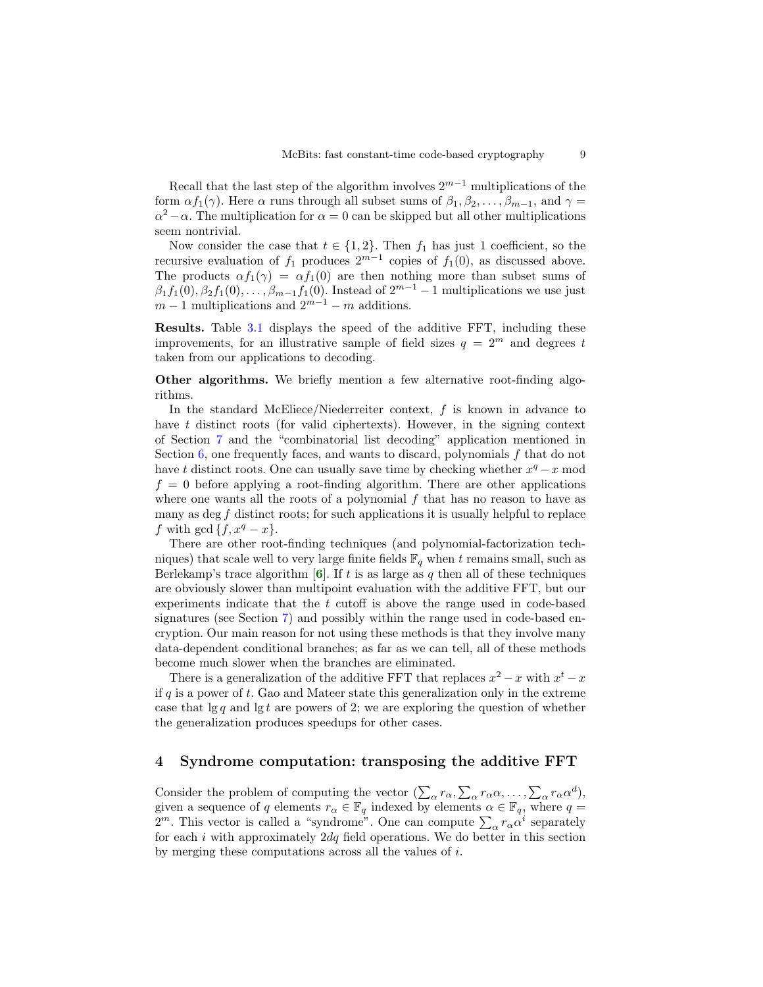Recall that the last step of the algorithm involves  $2^{m-1}$  multiplications of the form  $\alpha f_1(\gamma)$ . Here  $\alpha$  runs through all subset sums of  $\beta_1, \beta_2, \ldots, \beta_{m-1}$ , and  $\gamma =$  $\alpha^2 - \alpha$ . The multiplication for  $\alpha = 0$  can be skipped but all other multiplications seem nontrivial.

Now consider the case that  $t \in \{1, 2\}$ . Then  $f_1$  has just 1 coefficient, so the recursive evaluation of  $f_1$  produces  $2^{m-1}$  copies of  $f_1(0)$ , as discussed above. The products  $\alpha f_1(\gamma) = \alpha f_1(0)$  are then nothing more than subset sums of  $\beta_1 f_1(0), \beta_2 f_1(0), \ldots, \beta_{m-1} f_1(0)$ . Instead of  $2^{m-1} - 1$  multiplications we use just  $m-1$  multiplications and  $2^{m-1}-m$  additions.

Results. Table [3.1](#page-3-0) displays the speed of the additive FFT, including these improvements, for an illustrative sample of field sizes  $q = 2^m$  and degrees t taken from our applications to decoding.

Other algorithms. We briefly mention a few alternative root-finding algorithms.

In the standard McEliece/Niederreiter context,  $f$  is known in advance to have t distinct roots (for valid ciphertexts). However, in the signing context of Section [7](#page-17-0) and the "combinatorial list decoding" application mentioned in Section [6,](#page-14-0) one frequently faces, and wants to discard, polynomials f that do not have t distinct roots. One can usually save time by checking whether  $x^q - x$  mod  $f = 0$  before applying a root-finding algorithm. There are other applications where one wants all the roots of a polynomial  $f$  that has no reason to have as many as deg  $f$  distinct roots; for such applications it is usually helpful to replace f with gcd  $\{f, x^q - x\}.$ 

There are other root-finding techniques (and polynomial-factorization techniques) that scale well to very large finite fields  $\mathbb{F}_q$  when t remains small, such as Berlekamp's trace algorithm  $[6]$  $[6]$  $[6]$ . If t is as large as q then all of these techniques are obviously slower than multipoint evaluation with the additive FFT, but our experiments indicate that the  $t$  cutoff is above the range used in code-based signatures (see Section [7\)](#page-17-0) and possibly within the range used in code-based encryption. Our main reason for not using these methods is that they involve many data-dependent conditional branches; as far as we can tell, all of these methods become much slower when the branches are eliminated.

There is a generalization of the additive FFT that replaces  $x^2 - x$  with  $x^t - x$ if  $q$  is a power of  $t$ . Gao and Mateer state this generalization only in the extreme case that  $\lg q$  and  $\lg t$  are powers of 2; we are exploring the question of whether the generalization produces speedups for other cases.

## <span id="page-8-0"></span>4 Syndrome computation: transposing the additive FFT

Consider the problem of computing the vector  $(\sum_{\alpha} r_{\alpha}, \sum_{\alpha} r_{\alpha} \alpha, \dots, \sum_{\alpha} r_{\alpha} \alpha^d)$ , given a sequence of q elements  $r_{\alpha} \in \mathbb{F}_q$  indexed by elements  $\alpha \in \mathbb{F}_q$ , where  $q =$  $2^m$ . This vector is called a "syndrome". One can compute  $\sum_{\alpha} r_{\alpha} \alpha^i$  separately for each i with approximately  $2dq$  field operations. We do better in this section by merging these computations across all the values of i.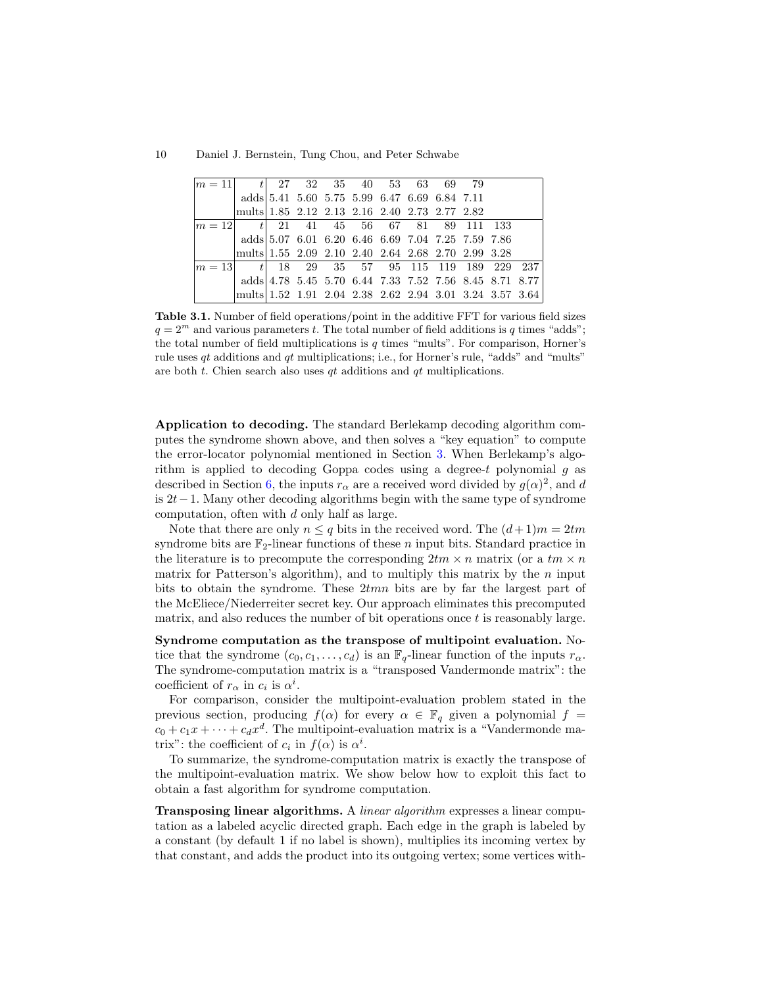| $m = 111$ |                                                                                                               | $t$ 27 32 35 40 53 63 69 79                            |  |  |  |  |
|-----------|---------------------------------------------------------------------------------------------------------------|--------------------------------------------------------|--|--|--|--|
|           | adds 5.41 5.60 5.75 5.99 6.47 6.69 6.84 7.11                                                                  |                                                        |  |  |  |  |
|           | mults 1.85 2.12 2.13 2.16 2.40 2.73 2.77 2.82                                                                 |                                                        |  |  |  |  |
| $m=12$    |                                                                                                               | $t$ 21 41 45 56 67 81 89 111 133                       |  |  |  |  |
|           | $\mathrm{adds} \vert \, 5.07 \;\; 6.01 \;\; 6.20 \;\; 6.46 \;\; 6.69 \;\; 7.04 \;\; 7.25 \;\; 7.59 \;\; 7.86$ |                                                        |  |  |  |  |
|           | mults 1.55 2.09 2.10 2.40 2.64 2.68 2.70 2.99 3.28                                                            |                                                        |  |  |  |  |
| $m = 13$  |                                                                                                               | $t$ 18 29 35 57 95 115 119 189 229 237                 |  |  |  |  |
|           |                                                                                                               | adds 4.78 5.45 5.70 6.44 7.33 7.52 7.56 8.45 8.71 8.77 |  |  |  |  |
|           | mults 1.52 1.91 2.04 2.38 2.62 2.94 3.01 3.24 3.57 3.64                                                       |                                                        |  |  |  |  |

Table 3.1. Number of field operations/point in the additive FFT for various field sizes  $q = 2<sup>m</sup>$  and various parameters t. The total number of field additions is q times "adds"; the total number of field multiplications is  $q$  times "mults". For comparison, Horner's rule uses qt additions and qt multiplications; i.e., for Horner's rule, "adds" and "mults" are both  $t$ . Chien search also uses  $qt$  additions and  $qt$  multiplications.

Application to decoding. The standard Berlekamp decoding algorithm computes the syndrome shown above, and then solves a "key equation" to compute the error-locator polynomial mentioned in Section [3.](#page-5-0) When Berlekamp's algorithm is applied to decoding Goppa codes using a degree-t polynomial  $g$  as described in Section [6,](#page-14-0) the inputs  $r_{\alpha}$  are a received word divided by  $g(\alpha)^2$ , and d is 2t−1. Many other decoding algorithms begin with the same type of syndrome computation, often with d only half as large.

Note that there are only  $n \leq q$  bits in the received word. The  $(d+1)m = 2tm$ syndrome bits are  $\mathbb{F}_2$ -linear functions of these *n* input bits. Standard practice in the literature is to precompute the corresponding  $2tm \times n$  matrix (or a  $tm \times n$ matrix for Patterson's algorithm), and to multiply this matrix by the  $n$  input bits to obtain the syndrome. These 2tmn bits are by far the largest part of the McEliece/Niederreiter secret key. Our approach eliminates this precomputed matrix, and also reduces the number of bit operations once  $t$  is reasonably large.

Syndrome computation as the transpose of multipoint evaluation. Notice that the syndrome  $(c_0, c_1, \ldots, c_d)$  is an  $\mathbb{F}_q$ -linear function of the inputs  $r_\alpha$ . The syndrome-computation matrix is a "transposed Vandermonde matrix": the coefficient of  $r_{\alpha}$  in  $c_i$  is  $\alpha^i$ .

For comparison, consider the multipoint-evaluation problem stated in the previous section, producing  $f(\alpha)$  for every  $\alpha \in \mathbb{F}_q$  given a polynomial  $f =$  $c_0 + c_1x + \cdots + c_dx^d$ . The multipoint-evaluation matrix is a "Vandermonde matrix": the coefficient of  $c_i$  in  $f(\alpha)$  is  $\alpha^i$ .

To summarize, the syndrome-computation matrix is exactly the transpose of the multipoint-evaluation matrix. We show below how to exploit this fact to obtain a fast algorithm for syndrome computation.

**Transposing linear algorithms.** A *linear algorithm* expresses a linear computation as a labeled acyclic directed graph. Each edge in the graph is labeled by a constant (by default 1 if no label is shown), multiplies its incoming vertex by that constant, and adds the product into its outgoing vertex; some vertices with-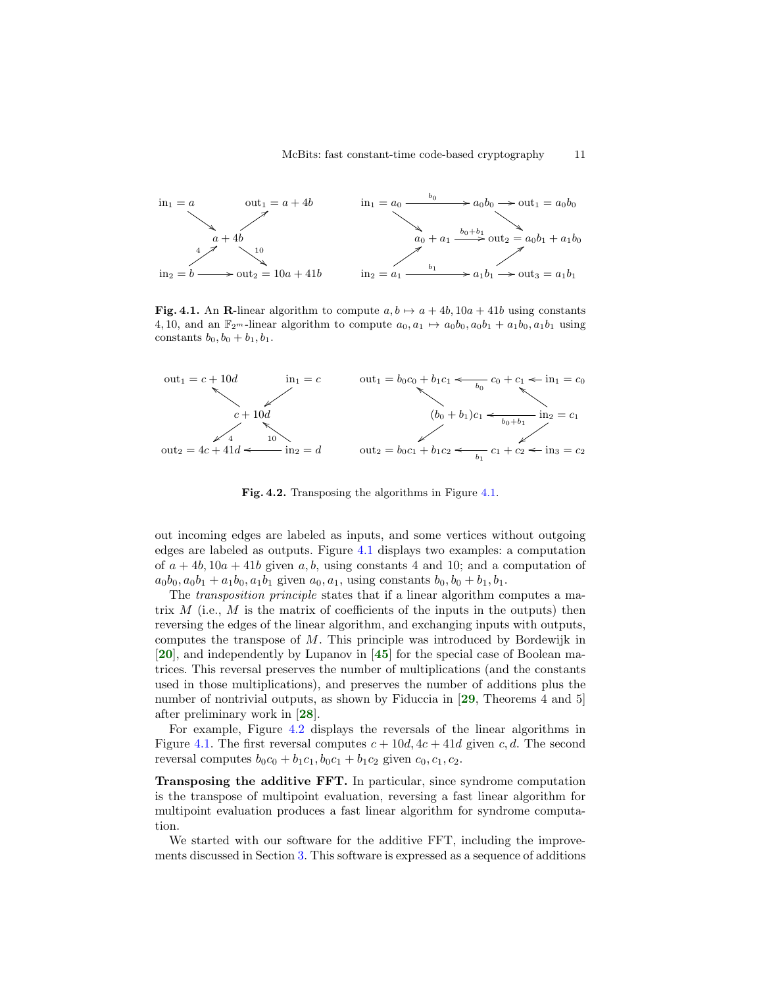

<span id="page-10-0"></span>Fig. 4.1. An R-linear algorithm to compute  $a, b \mapsto a + 4b$ ,  $10a + 41b$  using constants 4, 10, and an  $\mathbb{F}_{2^m}$ -linear algorithm to compute  $a_0, a_1 \mapsto a_0b_0, a_0b_1 + a_1b_0, a_1b_1$  using constants  $b_0$ ,  $b_0 + b_1$ ,  $b_1$ .



<span id="page-10-1"></span>Fig. 4.2. Transposing the algorithms in Figure [4.1.](#page-10-0)

out incoming edges are labeled as inputs, and some vertices without outgoing edges are labeled as outputs. Figure [4.1](#page-10-0) displays two examples: a computation of  $a + 4b$ ,  $10a + 41b$  given a, b, using constants 4 and 10; and a computation of  $a_0b_0, a_0b_1 + a_1b_0, a_1b_1$  given  $a_0, a_1$ , using constants  $b_0, b_0 + b_1, b_1$ .

The *transposition principle* states that if a linear algorithm computes a matrix  $M$  (i.e.,  $M$  is the matrix of coefficients of the inputs in the outputs) then reversing the edges of the linear algorithm, and exchanging inputs with outputs, computes the transpose of M. This principle was introduced by Bordewijk in [[20](#page-20-9)], and independently by Lupanov in [[45](#page-21-5)] for the special case of Boolean matrices. This reversal preserves the number of multiplications (and the constants used in those multiplications), and preserves the number of additions plus the number of nontrivial outputs, as shown by Fiduccia in [[29](#page-21-6), Theorems 4 and 5] after preliminary work in [[28](#page-21-7)].

For example, Figure [4.2](#page-10-1) displays the reversals of the linear algorithms in Figure [4.1.](#page-10-0) The first reversal computes  $c + 10d$ ,  $4c + 41d$  given c, d. The second reversal computes  $b_0c_0 + b_1c_1$ ,  $b_0c_1 + b_1c_2$  given  $c_0$ ,  $c_1$ ,  $c_2$ .

Transposing the additive FFT. In particular, since syndrome computation is the transpose of multipoint evaluation, reversing a fast linear algorithm for multipoint evaluation produces a fast linear algorithm for syndrome computation.

We started with our software for the additive FFT, including the improvements discussed in Section [3.](#page-5-0) This software is expressed as a sequence of additions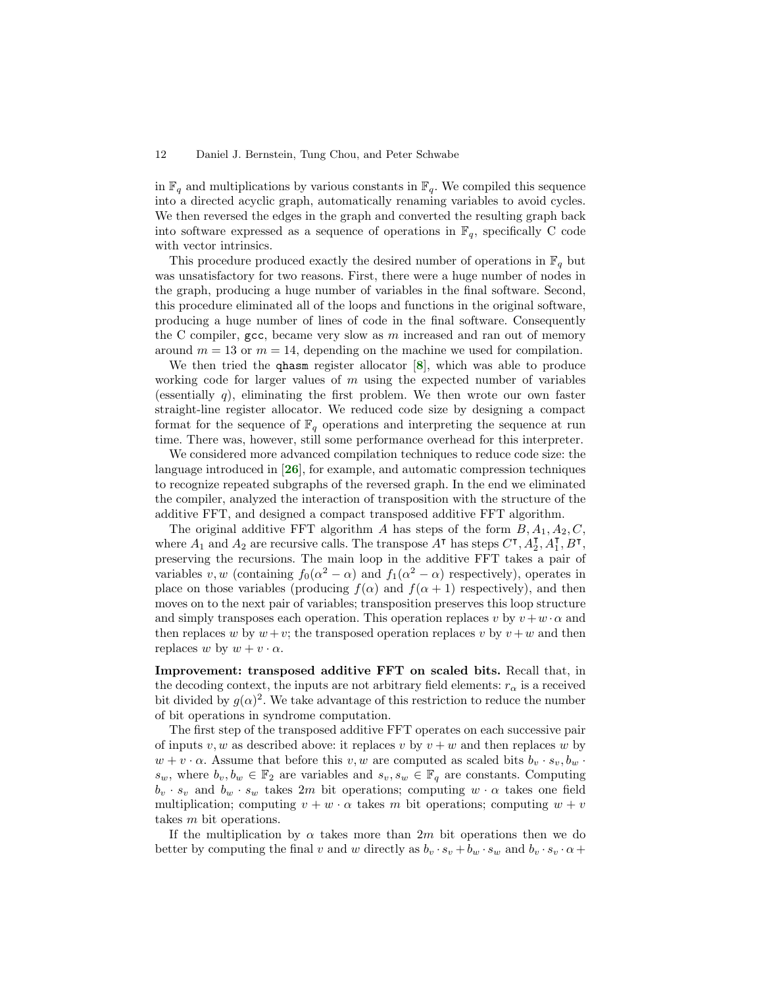in  $\mathbb{F}_q$  and multiplications by various constants in  $\mathbb{F}_q$ . We compiled this sequence into a directed acyclic graph, automatically renaming variables to avoid cycles. We then reversed the edges in the graph and converted the resulting graph back into software expressed as a sequence of operations in  $\mathbb{F}_q$ , specifically C code with vector intrinsics.

This procedure produced exactly the desired number of operations in  $\mathbb{F}_q$  but was unsatisfactory for two reasons. First, there were a huge number of nodes in the graph, producing a huge number of variables in the final software. Second, this procedure eliminated all of the loops and functions in the original software, producing a huge number of lines of code in the final software. Consequently the C compiler,  $\gcd$ , became very slow as m increased and ran out of memory around  $m = 13$  or  $m = 14$ , depending on the machine we used for compilation.

We then tried the qhasm register allocator  $[8]$  $[8]$  $[8]$ , which was able to produce working code for larger values of m using the expected number of variables (essentially q), eliminating the first problem. We then wrote our own faster straight-line register allocator. We reduced code size by designing a compact format for the sequence of  $\mathbb{F}_q$  operations and interpreting the sequence at run time. There was, however, still some performance overhead for this interpreter.

We considered more advanced compilation techniques to reduce code size: the language introduced in  $\mathbf{26}$  $\mathbf{26}$  $\mathbf{26}$ , for example, and automatic compression techniques to recognize repeated subgraphs of the reversed graph. In the end we eliminated the compiler, analyzed the interaction of transposition with the structure of the additive FFT, and designed a compact transposed additive FFT algorithm.

The original additive FFT algorithm A has steps of the form  $B, A_1, A_2, C$ , where  $A_1$  and  $A_2$  are recursive calls. The transpose  $A^{\dagger}$  has steps  $C^{\dagger}$ ,  $A_2^{\dagger}$ ,  $A_1^{\dagger}$ ,  $B^{\dagger}$ , preserving the recursions. The main loop in the additive FFT takes a pair of variables  $v, w$  (containing  $f_0(\alpha^2 - \alpha)$  and  $f_1(\alpha^2 - \alpha)$  respectively), operates in place on those variables (producing  $f(\alpha)$  and  $f(\alpha + 1)$  respectively), and then moves on to the next pair of variables; transposition preserves this loop structure and simply transposes each operation. This operation replaces v by  $v + w \cdot \alpha$  and then replaces w by  $w + v$ ; the transposed operation replaces v by  $v + w$  and then replaces w by  $w + v \cdot \alpha$ .

Improvement: transposed additive FFT on scaled bits. Recall that, in the decoding context, the inputs are not arbitrary field elements:  $r_{\alpha}$  is a received bit divided by  $g(\alpha)^2$ . We take advantage of this restriction to reduce the number of bit operations in syndrome computation.

The first step of the transposed additive FFT operates on each successive pair of inputs v, w as described above: it replaces v by  $v + w$  and then replaces w by  $w + v \cdot \alpha$ . Assume that before this v, w are computed as scaled bits  $b_v \cdot s_v, b_w \cdot$  $s_w$ , where  $b_v, b_w \in \mathbb{F}_2$  are variables and  $s_v, s_w \in \mathbb{F}_q$  are constants. Computing  $b_v \cdot s_v$  and  $b_w \cdot s_w$  takes 2m bit operations; computing  $w \cdot \alpha$  takes one field multiplication; computing  $v + w \cdot \alpha$  takes m bit operations; computing  $w + v$ takes m bit operations.

If the multiplication by  $\alpha$  takes more than 2m bit operations then we do better by computing the final v and w directly as  $b_v \cdot s_v + b_w \cdot s_w$  and  $b_v \cdot s_v \cdot \alpha$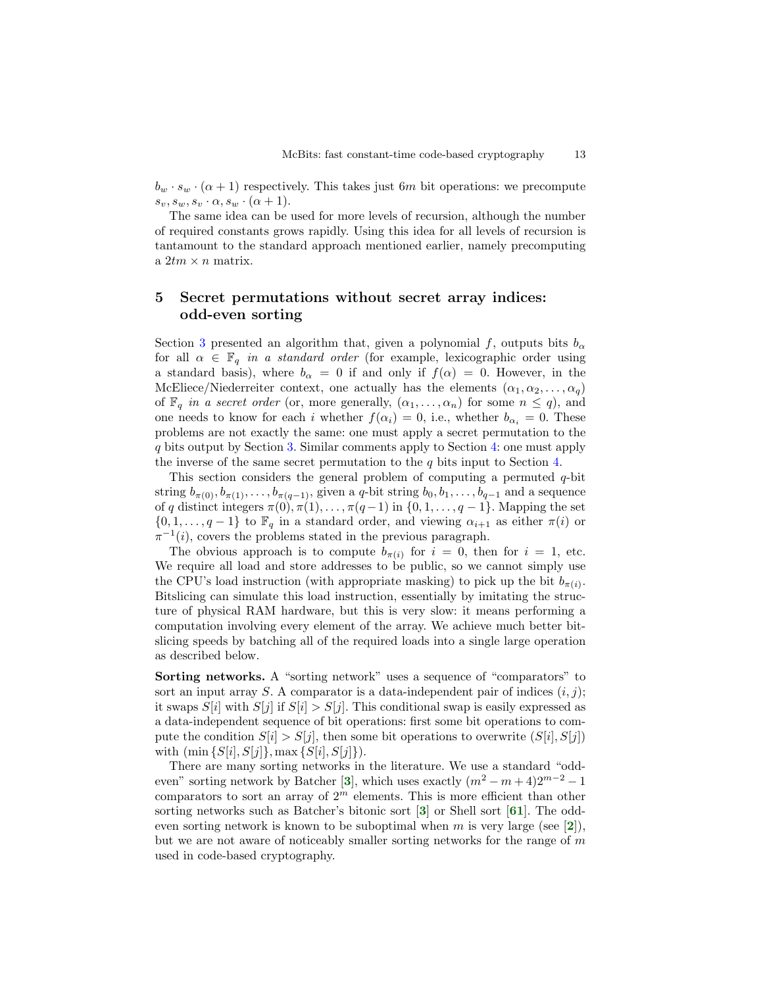$b_w \cdot s_w \cdot (\alpha + 1)$  respectively. This takes just 6m bit operations: we precompute  $s_v, s_w, s_v \cdot \alpha, s_w \cdot (\alpha + 1).$ 

The same idea can be used for more levels of recursion, although the number of required constants grows rapidly. Using this idea for all levels of recursion is tantamount to the standard approach mentioned earlier, namely precomputing a  $2tm \times n$  matrix.

## <span id="page-12-0"></span>5 Secret permutations without secret array indices: odd-even sorting

Section [3](#page-5-0) presented an algorithm that, given a polynomial f, outputs bits  $b_{\alpha}$ for all  $\alpha \in \mathbb{F}_q$  in a standard order (for example, lexicographic order using a standard basis), where  $b_{\alpha} = 0$  if and only if  $f(\alpha) = 0$ . However, in the McEliece/Niederreiter context, one actually has the elements  $(\alpha_1, \alpha_2, \ldots, \alpha_q)$ of  $\mathbb{F}_q$  in a secret order (or, more generally,  $(\alpha_1, \ldots, \alpha_n)$  for some  $n \leq q$ ), and one needs to know for each i whether  $f(\alpha_i) = 0$ , i.e., whether  $b_{\alpha_i} = 0$ . These problems are not exactly the same: one must apply a secret permutation to the q bits output by Section [3.](#page-5-0) Similar comments apply to Section [4:](#page-8-0) one must apply the inverse of the same secret permutation to the  $q$  bits input to Section [4.](#page-8-0)

This section considers the general problem of computing a permuted q-bit string  $b_{\pi(0)}, b_{\pi(1)}, \ldots, b_{\pi(q-1)}$ , given a q-bit string  $b_0, b_1, \ldots, b_{q-1}$  and a sequence of q distinct integers  $\pi(0), \pi(1), \ldots, \pi(q-1)$  in  $\{0, 1, \ldots, q-1\}$ . Mapping the set  $\{0, 1, \ldots, q-1\}$  to  $\mathbb{F}_q$  in a standard order, and viewing  $\alpha_{i+1}$  as either  $\pi(i)$  or  $\pi^{-1}(i)$ , covers the problems stated in the previous paragraph.

The obvious approach is to compute  $b_{\pi(i)}$  for  $i = 0$ , then for  $i = 1$ , etc. We require all load and store addresses to be public, so we cannot simply use the CPU's load instruction (with appropriate masking) to pick up the bit  $b_{\pi(i)}$ . Bitslicing can simulate this load instruction, essentially by imitating the structure of physical RAM hardware, but this is very slow: it means performing a computation involving every element of the array. We achieve much better bitslicing speeds by batching all of the required loads into a single large operation as described below.

Sorting networks. A "sorting network" uses a sequence of "comparators" to sort an input array S. A comparator is a data-independent pair of indices  $(i, j)$ ; it swaps  $S[i]$  with  $S[j]$  if  $S[i] > S[j]$ . This conditional swap is easily expressed as a data-independent sequence of bit operations: first some bit operations to compute the condition  $S[i] > S[j]$ , then some bit operations to overwrite  $(S[i], S[j])$ with  $(\min \{S[i], S[j]\}, \max \{S[i], S[j]\}).$ 

There are many sorting networks in the literature. We use a standard "odd-even" sorting network by Batcher [[3](#page-20-11)], which uses exactly  $(m^2 - m + 4)2^{m-2} - 1$ comparators to sort an array of  $2<sup>m</sup>$  elements. This is more efficient than other sorting networks such as Batcher's bitonic sort [[3](#page-20-11)] or Shell sort [[61](#page-22-8)]. The odd-even sorting network is known to be suboptimal when m is very large (see [[2](#page-19-0)]), but we are not aware of noticeably smaller sorting networks for the range of  $m$ used in code-based cryptography.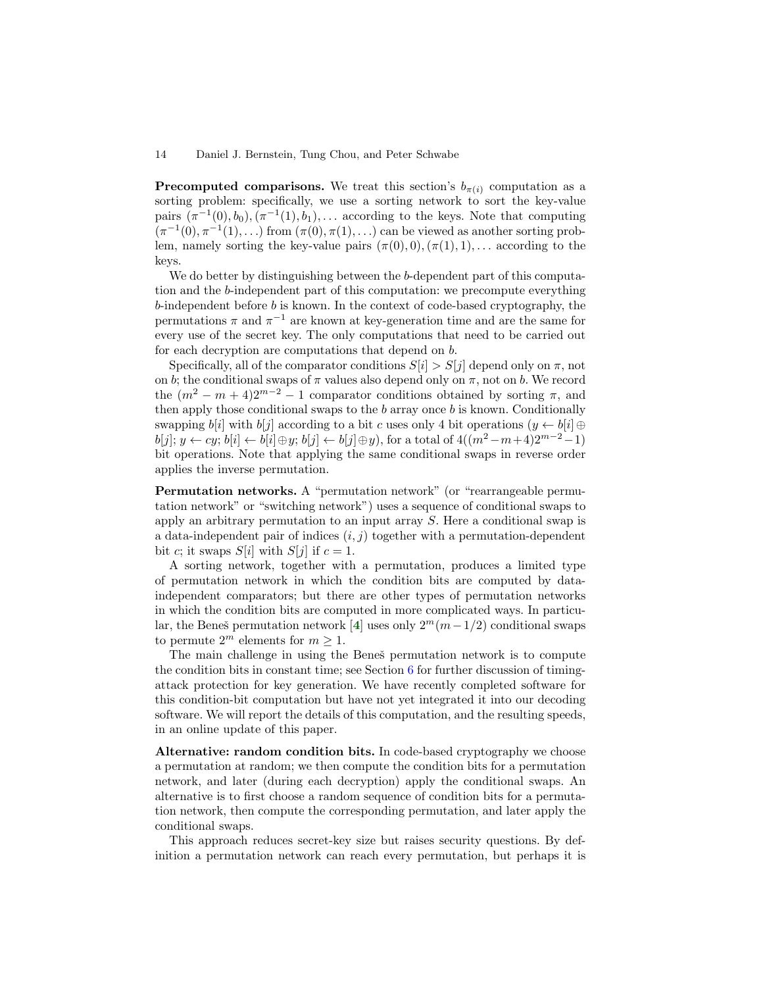**Precomputed comparisons.** We treat this section's  $b_{\pi(i)}$  computation as a sorting problem: specifically, we use a sorting network to sort the key-value pairs  $(\pi^{-1}(0), b_0), (\pi^{-1}(1), b_1), \ldots$  according to the keys. Note that computing  $(\pi^{-1}(0), \pi^{-1}(1), \ldots)$  from  $(\pi(0), \pi(1), \ldots)$  can be viewed as another sorting problem, namely sorting the key-value pairs  $(\pi(0), 0), (\pi(1), 1), \ldots$  according to the keys.

We do better by distinguishing between the b-dependent part of this computation and the b-independent part of this computation: we precompute everything  $b$ -independent before  $b$  is known. In the context of code-based cryptography, the permutations  $\pi$  and  $\pi^{-1}$  are known at key-generation time and are the same for every use of the secret key. The only computations that need to be carried out for each decryption are computations that depend on b.

Specifically, all of the comparator conditions  $S[i] > S[i]$  depend only on  $\pi$ , not on b; the conditional swaps of  $\pi$  values also depend only on  $\pi$ , not on b. We record the  $(m^2 - m + 4)2^{m-2} - 1$  comparator conditions obtained by sorting  $\pi$ , and then apply those conditional swaps to the  $b$  array once  $b$  is known. Conditionally swapping  $b[i]$  with  $b[j]$  according to a bit c uses only 4 bit operations  $(y \leftarrow b[i] \oplus$  $b[j]; y \leftarrow cy; b[i] \leftarrow b[i] \oplus y; b[j] \leftarrow b[j] \oplus y)$ , for a total of  $4((m^2 - m + 4)2^{m-2} - 1)$ bit operations. Note that applying the same conditional swaps in reverse order applies the inverse permutation.

Permutation networks. A "permutation network" (or "rearrangeable permutation network" or "switching network") uses a sequence of conditional swaps to apply an arbitrary permutation to an input array S. Here a conditional swap is a data-independent pair of indices  $(i, j)$  together with a permutation-dependent bit c; it swaps  $S[i]$  with  $S[j]$  if  $c = 1$ .

A sorting network, together with a permutation, produces a limited type of permutation network in which the condition bits are computed by dataindependent comparators; but there are other types of permutation networks in which the condition bits are computed in more complicated ways. In particu-lar, the Beneš permutation network [[4](#page-20-12)] uses only  $2^m(m-1/2)$  conditional swaps to permute  $2^m$  elements for  $m \geq 1$ .

The main challenge in using the Beneš permutation network is to compute the condition bits in constant time; see Section [6](#page-14-0) for further discussion of timingattack protection for key generation. We have recently completed software for this condition-bit computation but have not yet integrated it into our decoding software. We will report the details of this computation, and the resulting speeds, in an online update of this paper.

Alternative: random condition bits. In code-based cryptography we choose a permutation at random; we then compute the condition bits for a permutation network, and later (during each decryption) apply the conditional swaps. An alternative is to first choose a random sequence of condition bits for a permutation network, then compute the corresponding permutation, and later apply the conditional swaps.

This approach reduces secret-key size but raises security questions. By definition a permutation network can reach every permutation, but perhaps it is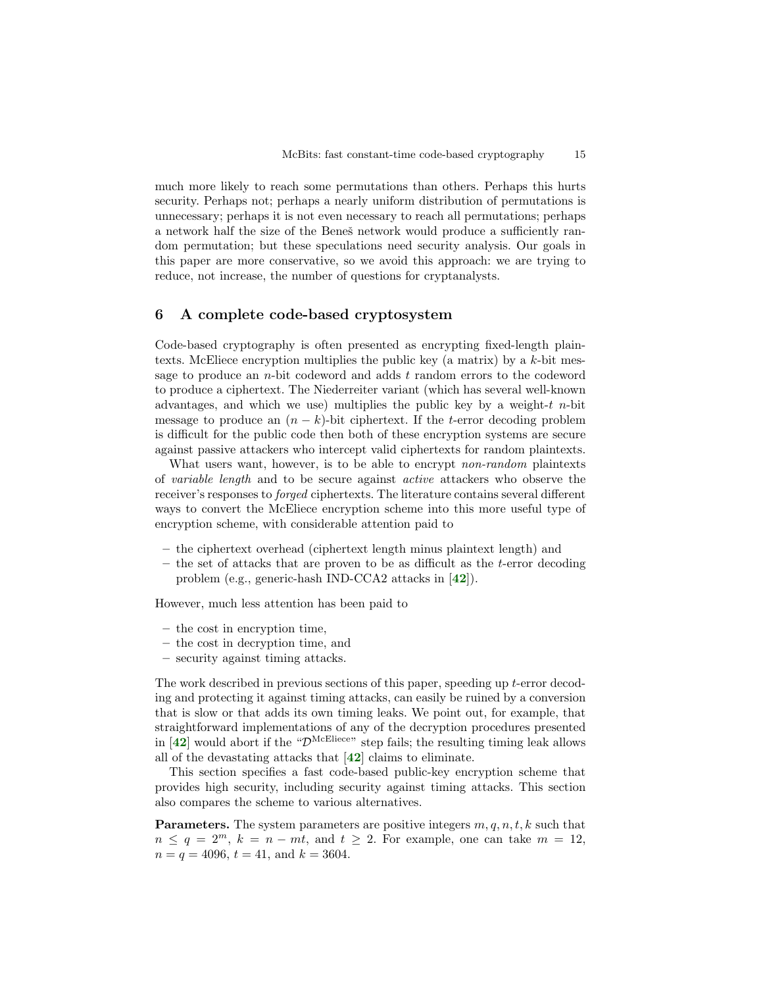much more likely to reach some permutations than others. Perhaps this hurts security. Perhaps not; perhaps a nearly uniform distribution of permutations is unnecessary; perhaps it is not even necessary to reach all permutations; perhaps a network half the size of the Benesĭ network would produce a sufficiently random permutation; but these speculations need security analysis. Our goals in this paper are more conservative, so we avoid this approach: we are trying to reduce, not increase, the number of questions for cryptanalysts.

## <span id="page-14-0"></span>6 A complete code-based cryptosystem

Code-based cryptography is often presented as encrypting fixed-length plaintexts. McEliece encryption multiplies the public key (a matrix) by a  $k$ -bit message to produce an *n*-bit codeword and adds  $t$  random errors to the codeword to produce a ciphertext. The Niederreiter variant (which has several well-known advantages, and which we use) multiplies the public key by a weight- $t$  n-bit message to produce an  $(n - k)$ -bit ciphertext. If the t-error decoding problem is difficult for the public code then both of these encryption systems are secure against passive attackers who intercept valid ciphertexts for random plaintexts.

What users want, however, is to be able to encrypt *non-random* plaintexts of variable length and to be secure against active attackers who observe the receiver's responses to *forged* ciphertexts. The literature contains several different ways to convert the McEliece encryption scheme into this more useful type of encryption scheme, with considerable attention paid to

- the ciphertext overhead (ciphertext length minus plaintext length) and
- $-$  the set of attacks that are proven to be as difficult as the t-error decoding problem (e.g., generic-hash IND-CCA2 attacks in [[42](#page-21-9)]).

However, much less attention has been paid to

- the cost in encryption time,
- the cost in decryption time, and
- security against timing attacks.

The work described in previous sections of this paper, speeding up t-error decoding and protecting it against timing attacks, can easily be ruined by a conversion that is slow or that adds its own timing leaks. We point out, for example, that straightforward implementations of any of the decryption procedures presented in  $[42]$  $[42]$  $[42]$  would abort if the " $\mathcal{D}^{\text{McEliece}}$ " step fails; the resulting timing leak allows all of the devastating attacks that  $[42]$  $[42]$  $[42]$  claims to eliminate.

This section specifies a fast code-based public-key encryption scheme that provides high security, including security against timing attacks. This section also compares the scheme to various alternatives.

**Parameters.** The system parameters are positive integers  $m, q, n, t, k$  such that  $n \leq q = 2^m$ ,  $k = n - mt$ , and  $t \geq 2$ . For example, one can take  $m = 12$ ,  $n = q = 4096$ ,  $t = 41$ , and  $k = 3604$ .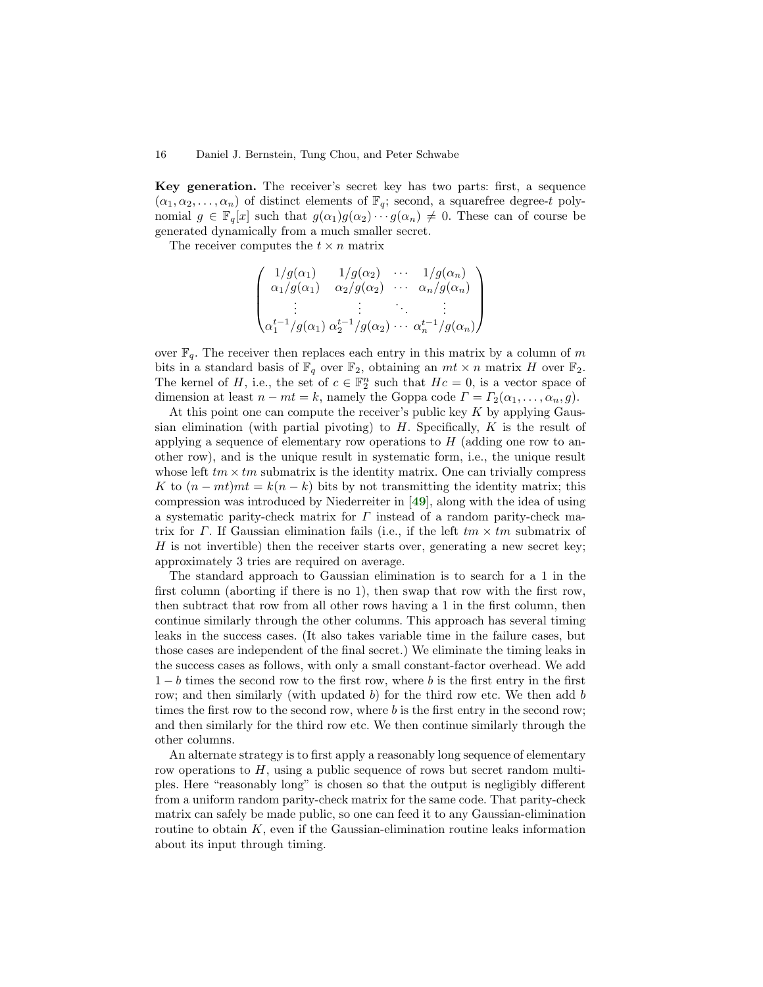Key generation. The receiver's secret key has two parts: first, a sequence  $(\alpha_1, \alpha_2, \ldots, \alpha_n)$  of distinct elements of  $\mathbb{F}_q$ ; second, a squarefree degree-t polynomial  $g \in \mathbb{F}_q[x]$  such that  $g(\alpha_1)g(\alpha_2)\cdots g(\alpha_n) \neq 0$ . These can of course be generated dynamically from a much smaller secret.

The receiver computes the  $t \times n$  matrix

$$
\begin{pmatrix}\n1/g(\alpha_1) & 1/g(\alpha_2) & \cdots & 1/g(\alpha_n) \\
\alpha_1/g(\alpha_1) & \alpha_2/g(\alpha_2) & \cdots & \alpha_n/g(\alpha_n) \\
\vdots & \vdots & \ddots & \vdots \\
\alpha_1^{t-1}/g(\alpha_1) & \alpha_2^{t-1}/g(\alpha_2) & \cdots & \alpha_n^{t-1}/g(\alpha_n)\n\end{pmatrix}
$$

over  $\mathbb{F}_q$ . The receiver then replaces each entry in this matrix by a column of m bits in a standard basis of  $\mathbb{F}_q$  over  $\mathbb{F}_2$ , obtaining an  $mt \times n$  matrix H over  $\mathbb{F}_2$ . The kernel of H, i.e., the set of  $c \in \mathbb{F}_2^n$  such that  $Hc = 0$ , is a vector space of dimension at least  $n - mt = k$ , namely the Goppa code  $\Gamma = \Gamma_2(\alpha_1, \ldots, \alpha_n, g)$ .

At this point one can compute the receiver's public key  $K$  by applying Gaussian elimination (with partial pivoting) to  $H$ . Specifically,  $K$  is the result of applying a sequence of elementary row operations to  $H$  (adding one row to another row), and is the unique result in systematic form, i.e., the unique result whose left  $tm \times tm$  submatrix is the identity matrix. One can trivially compress K to  $(n - mt)mt = k(n - k)$  bits by not transmitting the identity matrix; this compression was introduced by Niederreiter in [[49](#page-22-0)], along with the idea of using a systematic parity-check matrix for  $\Gamma$  instead of a random parity-check matrix for Γ. If Gaussian elimination fails (i.e., if the left  $tm \times tm$  submatrix of  $H$  is not invertible) then the receiver starts over, generating a new secret key; approximately 3 tries are required on average.

The standard approach to Gaussian elimination is to search for a 1 in the first column (aborting if there is no 1), then swap that row with the first row, then subtract that row from all other rows having a 1 in the first column, then continue similarly through the other columns. This approach has several timing leaks in the success cases. (It also takes variable time in the failure cases, but those cases are independent of the final secret.) We eliminate the timing leaks in the success cases as follows, with only a small constant-factor overhead. We add  $1-b$  times the second row to the first row, where b is the first entry in the first row; and then similarly (with updated  $b$ ) for the third row etc. We then add  $b$ times the first row to the second row, where b is the first entry in the second row; and then similarly for the third row etc. We then continue similarly through the other columns.

An alternate strategy is to first apply a reasonably long sequence of elementary row operations to  $H$ , using a public sequence of rows but secret random multiples. Here "reasonably long" is chosen so that the output is negligibly different from a uniform random parity-check matrix for the same code. That parity-check matrix can safely be made public, so one can feed it to any Gaussian-elimination routine to obtain  $K$ , even if the Gaussian-elimination routine leaks information about its input through timing.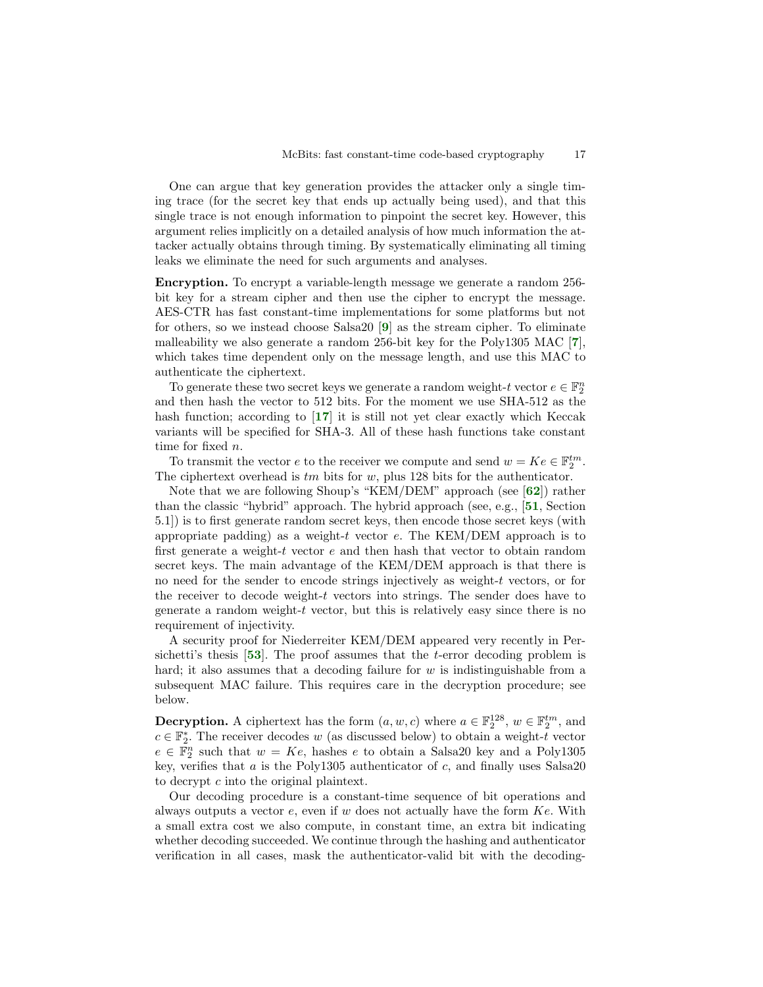One can argue that key generation provides the attacker only a single timing trace (for the secret key that ends up actually being used), and that this single trace is not enough information to pinpoint the secret key. However, this argument relies implicitly on a detailed analysis of how much information the attacker actually obtains through timing. By systematically eliminating all timing leaks we eliminate the need for such arguments and analyses.

Encryption. To encrypt a variable-length message we generate a random 256 bit key for a stream cipher and then use the cipher to encrypt the message. AES-CTR has fast constant-time implementations for some platforms but not for others, so we instead choose Salsa20 [[9](#page-20-13)] as the stream cipher. To eliminate malleability we also generate a random 256-bit key for the Poly1305 MAC [[7](#page-20-14)], which takes time dependent only on the message length, and use this MAC to authenticate the ciphertext.

To generate these two secret keys we generate a random weight- $t$  vector  $e \in \mathbb{F}_2^n$ and then hash the vector to 512 bits. For the moment we use SHA-512 as the hash function; according to [[17](#page-20-15)] it is still not yet clear exactly which Keccak variants will be specified for SHA-3. All of these hash functions take constant time for fixed n.

To transmit the vector  $e$  to the receiver we compute and send  $w = Ke \in \mathbb{F}_2^{tm}$ . The ciphertext overhead is  $tm$  bits for  $w$ , plus 128 bits for the authenticator.

Note that we are following Shoup's "KEM/DEM" approach (see [[62](#page-22-9)]) rather than the classic "hybrid" approach. The hybrid approach (see, e.g., [[51](#page-22-10), Section 5.1]) is to first generate random secret keys, then encode those secret keys (with appropriate padding) as a weight-t vector  $e$ . The KEM/DEM approach is to first generate a weight-t vector  $e$  and then hash that vector to obtain random secret keys. The main advantage of the KEM/DEM approach is that there is no need for the sender to encode strings injectively as weight-t vectors, or for the receiver to decode weight- $t$  vectors into strings. The sender does have to generate a random weight-t vector, but this is relatively easy since there is no requirement of injectivity.

A security proof for Niederreiter KEM/DEM appeared very recently in Persichetti's thesis [[53](#page-22-11)]. The proof assumes that the t-error decoding problem is hard; it also assumes that a decoding failure for  $w$  is indistinguishable from a subsequent MAC failure. This requires care in the decryption procedure; see below.

**Decryption.** A ciphertext has the form  $(a, w, c)$  where  $a \in \mathbb{F}_2^{128}$ ,  $w \in \mathbb{F}_2^{tm}$ , and  $c \in \mathbb{F}_2^*$ . The receiver decodes w (as discussed below) to obtain a weight-t vector  $e \in \mathbb{F}_2^n$  such that  $w = Ke$ , hashes e to obtain a Salsa20 key and a Poly1305 key, verifies that  $a$  is the Poly1305 authenticator of  $c$ , and finally uses Salsa20 to decrypt c into the original plaintext.

Our decoding procedure is a constant-time sequence of bit operations and always outputs a vector  $e$ , even if w does not actually have the form  $Ke$ . With a small extra cost we also compute, in constant time, an extra bit indicating whether decoding succeeded. We continue through the hashing and authenticator verification in all cases, mask the authenticator-valid bit with the decoding-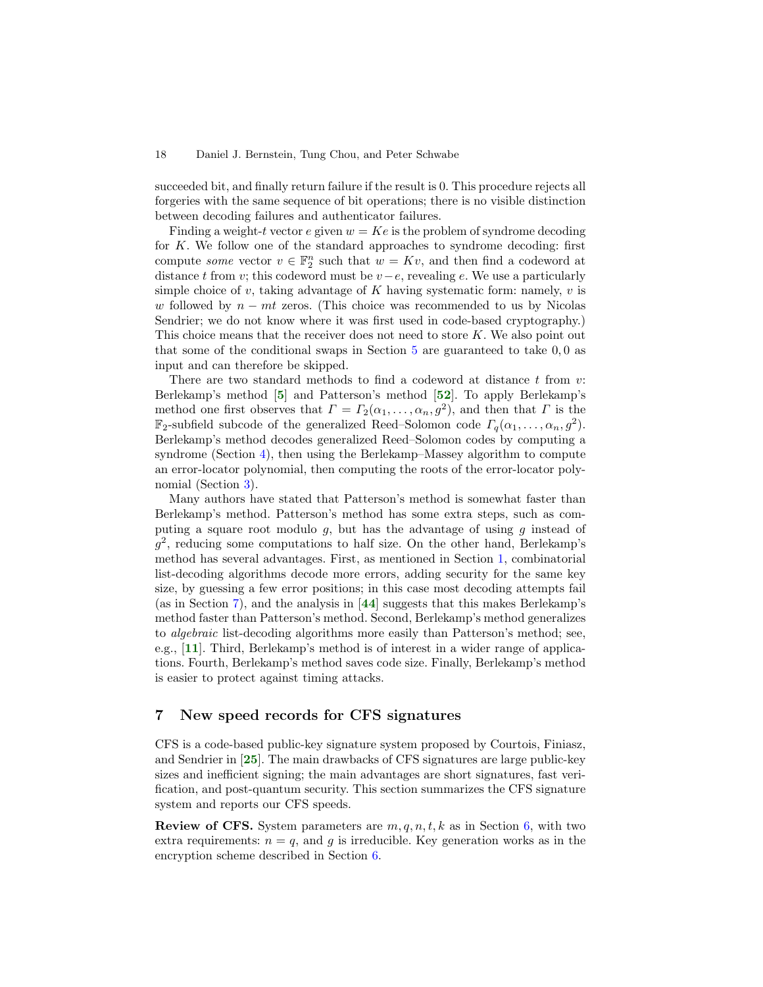succeeded bit, and finally return failure if the result is 0. This procedure rejects all forgeries with the same sequence of bit operations; there is no visible distinction between decoding failures and authenticator failures.

Finding a weight-t vector e given  $w = Ke$  is the problem of syndrome decoding for K. We follow one of the standard approaches to syndrome decoding: first compute *some* vector  $v \in \mathbb{F}_2^n$  such that  $w = Kv$ , and then find a codeword at distance t from v; this codeword must be  $v-e$ , revealing e. We use a particularly simple choice of  $v$ , taking advantage of  $K$  having systematic form: namely,  $v$  is w followed by  $n - mt$  zeros. (This choice was recommended to us by Nicolas Sendrier; we do not know where it was first used in code-based cryptography.) This choice means that the receiver does not need to store  $K$ . We also point out that some of the conditional swaps in Section  $5$  are guaranteed to take  $0, 0$  as input and can therefore be skipped.

There are two standard methods to find a codeword at distance  $t$  from  $v$ : Berlekamp's method [[5](#page-20-16)] and Patterson's method [[52](#page-22-12)]. To apply Berlekamp's method one first observes that  $\Gamma = \Gamma_2(\alpha_1, \ldots, \alpha_n, g^2)$ , and then that  $\Gamma$  is the  $\mathbb{F}_2$ -subfield subcode of the generalized Reed–Solomon code  $\Gamma_q(\alpha_1,\ldots,\alpha_n,g^2)$ . Berlekamp's method decodes generalized Reed–Solomon codes by computing a syndrome (Section [4\)](#page-8-0), then using the Berlekamp–Massey algorithm to compute an error-locator polynomial, then computing the roots of the error-locator polynomial (Section [3\)](#page-5-0).

Many authors have stated that Patterson's method is somewhat faster than Berlekamp's method. Patterson's method has some extra steps, such as computing a square root modulo  $g$ , but has the advantage of using  $g$  instead of g 2 , reducing some computations to half size. On the other hand, Berlekamp's method has several advantages. First, as mentioned in Section [1,](#page-0-0) combinatorial list-decoding algorithms decode more errors, adding security for the same key size, by guessing a few error positions; in this case most decoding attempts fail (as in Section [7\)](#page-17-0), and the analysis in [[44](#page-21-10)] suggests that this makes Berlekamp's method faster than Patterson's method. Second, Berlekamp's method generalizes to algebraic list-decoding algorithms more easily than Patterson's method; see, e.g., [[11](#page-20-17)]. Third, Berlekamp's method is of interest in a wider range of applications. Fourth, Berlekamp's method saves code size. Finally, Berlekamp's method is easier to protect against timing attacks.

## <span id="page-17-0"></span>7 New speed records for CFS signatures

CFS is a code-based public-key signature system proposed by Courtois, Finiasz, and Sendrier in [[25](#page-20-18)]. The main drawbacks of CFS signatures are large public-key sizes and inefficient signing; the main advantages are short signatures, fast verification, and post-quantum security. This section summarizes the CFS signature system and reports our CFS speeds.

**Review of CFS.** System parameters are  $m, q, n, t, k$  as in Section [6,](#page-14-0) with two extra requirements:  $n = q$ , and g is irreducible. Key generation works as in the encryption scheme described in Section [6.](#page-14-0)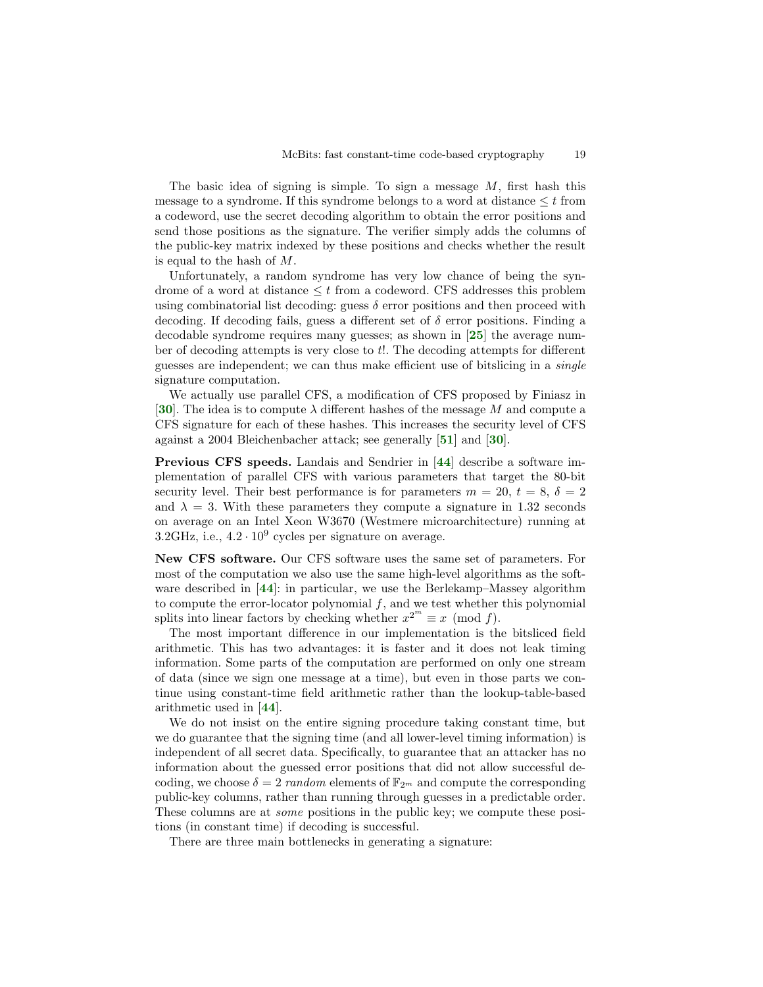The basic idea of signing is simple. To sign a message  $M$ , first hash this message to a syndrome. If this syndrome belongs to a word at distance  $\leq t$  from a codeword, use the secret decoding algorithm to obtain the error positions and send those positions as the signature. The verifier simply adds the columns of the public-key matrix indexed by these positions and checks whether the result is equal to the hash of M.

Unfortunately, a random syndrome has very low chance of being the syndrome of a word at distance  $\leq t$  from a codeword. CFS addresses this problem using combinatorial list decoding: guess  $\delta$  error positions and then proceed with decoding. If decoding fails, guess a different set of  $\delta$  error positions. Finding a decodable syndrome requires many guesses; as shown in [[25](#page-20-18)] the average number of decoding attempts is very close to t!. The decoding attempts for different guesses are independent; we can thus make efficient use of bitslicing in a single signature computation.

We actually use parallel CFS, a modification of CFS proposed by Finiasz in [[30](#page-21-11)]. The idea is to compute  $\lambda$  different hashes of the message M and compute a CFS signature for each of these hashes. This increases the security level of CFS against a 2004 Bleichenbacher attack; see generally [[51](#page-22-10)] and [[30](#page-21-11)].

Previous CFS speeds. Landais and Sendrier in [[44](#page-21-10)] describe a software implementation of parallel CFS with various parameters that target the 80-bit security level. Their best performance is for parameters  $m = 20, t = 8, \delta = 2$ and  $\lambda = 3$ . With these parameters they compute a signature in 1.32 seconds on average on an Intel Xeon W3670 (Westmere microarchitecture) running at  $3.2\text{GHz}$ , i.e.,  $4.2 \cdot 10^9$  cycles per signature on average.

New CFS software. Our CFS software uses the same set of parameters. For most of the computation we also use the same high-level algorithms as the software described in  $[44]$  $[44]$  $[44]$ : in particular, we use the Berlekamp–Massey algorithm to compute the error-locator polynomial  $f$ , and we test whether this polynomial splits into linear factors by checking whether  $x^{2^m} \equiv x \pmod{f}$ .

The most important difference in our implementation is the bitsliced field arithmetic. This has two advantages: it is faster and it does not leak timing information. Some parts of the computation are performed on only one stream of data (since we sign one message at a time), but even in those parts we continue using constant-time field arithmetic rather than the lookup-table-based arithmetic used in [[44](#page-21-10)].

We do not insist on the entire signing procedure taking constant time, but we do guarantee that the signing time (and all lower-level timing information) is independent of all secret data. Specifically, to guarantee that an attacker has no information about the guessed error positions that did not allow successful decoding, we choose  $\delta = 2$  random elements of  $\mathbb{F}_{2^m}$  and compute the corresponding public-key columns, rather than running through guesses in a predictable order. These columns are at *some* positions in the public key; we compute these positions (in constant time) if decoding is successful.

There are three main bottlenecks in generating a signature: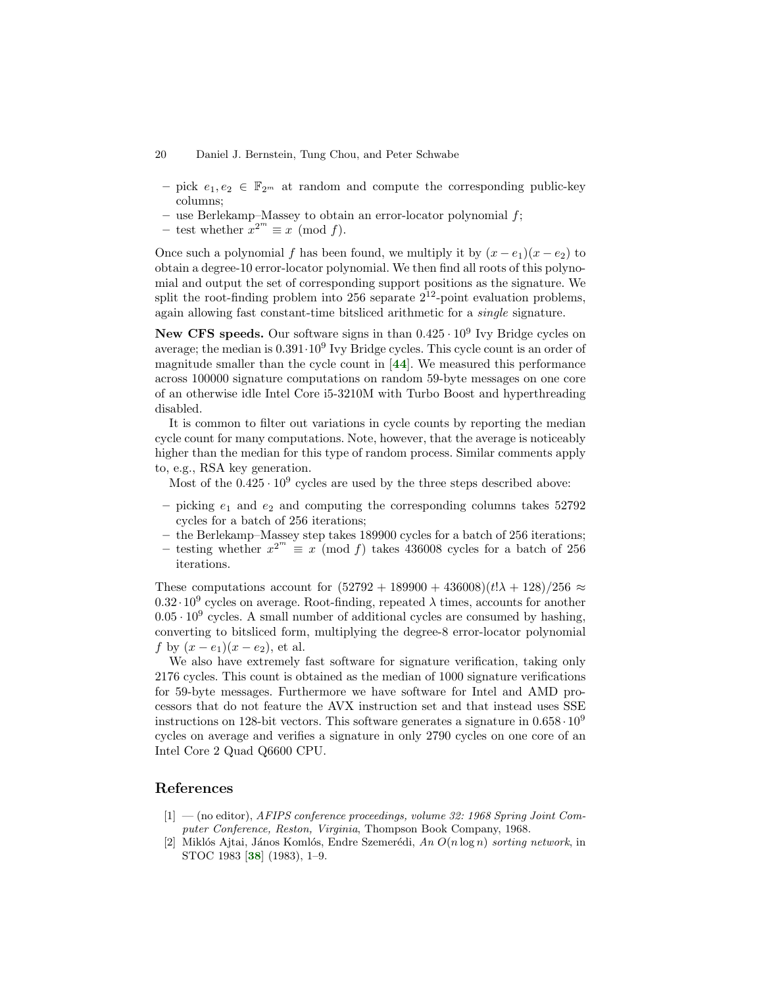- pick  $e_1, e_2 \in \mathbb{F}_{2^m}$  at random and compute the corresponding public-key columns;
- $-$  use Berlekamp–Massey to obtain an error-locator polynomial  $f$ ;
- test whether  $x^{2^m} \equiv x \pmod{f}$ .

Once such a polynomial f has been found, we multiply it by  $(x - e_1)(x - e_2)$  to obtain a degree-10 error-locator polynomial. We then find all roots of this polynomial and output the set of corresponding support positions as the signature. We split the root-finding problem into 256 separate  $2^{12}$ -point evaluation problems, again allowing fast constant-time bitsliced arithmetic for a single signature.

New CFS speeds. Our software signs in than  $0.425 \cdot 10^9$  Ivy Bridge cycles on average; the median is  $0.391 \cdot 10^9$  Ivy Bridge cycles. This cycle count is an order of magnitude smaller than the cycle count in  $[44]$  $[44]$  $[44]$ . We measured this performance across 100000 signature computations on random 59-byte messages on one core of an otherwise idle Intel Core i5-3210M with Turbo Boost and hyperthreading disabled.

It is common to filter out variations in cycle counts by reporting the median cycle count for many computations. Note, however, that the average is noticeably higher than the median for this type of random process. Similar comments apply to, e.g., RSA key generation.

Most of the  $0.425 \cdot 10^9$  cycles are used by the three steps described above:

- picking  $e_1$  and  $e_2$  and computing the corresponding columns takes 52792 cycles for a batch of 256 iterations;
- the Berlekamp–Massey step takes 189900 cycles for a batch of 256 iterations;
- testing whether  $x^{2^m} \equiv x \pmod{f}$  takes 436008 cycles for a batch of 256 iterations.

These computations account for  $(52792 + 189900 + 436008)(t!\lambda + 128)/256 \approx$  $0.32 \cdot 10^9$  cycles on average. Root-finding, repeated  $\lambda$  times, accounts for another  $0.05 \cdot 10^9$  cycles. A small number of additional cycles are consumed by hashing, converting to bitsliced form, multiplying the degree-8 error-locator polynomial f by  $(x - e_1)(x - e_2)$ , et al.

We also have extremely fast software for signature verification, taking only 2176 cycles. This count is obtained as the median of 1000 signature verifications for 59-byte messages. Furthermore we have software for Intel and AMD processors that do not feature the AVX instruction set and that instead uses SSE instructions on 128-bit vectors. This software generates a signature in  $0.658 \cdot 10^9$ cycles on average and verifies a signature in only 2790 cycles on one core of an Intel Core 2 Quad Q6600 CPU.

## References

- <span id="page-19-1"></span>[1] — (no editor), AFIPS conference proceedings, volume 32: 1968 Spring Joint Computer Conference, Reston, Virginia, Thompson Book Company, 1968.
- <span id="page-19-0"></span>Miklós Ajtai, János Komlós, Endre Szemerédi, An  $O(n \log n)$  sorting network, in STOC 1983 [[38](#page-21-12)] (1983), 1–9.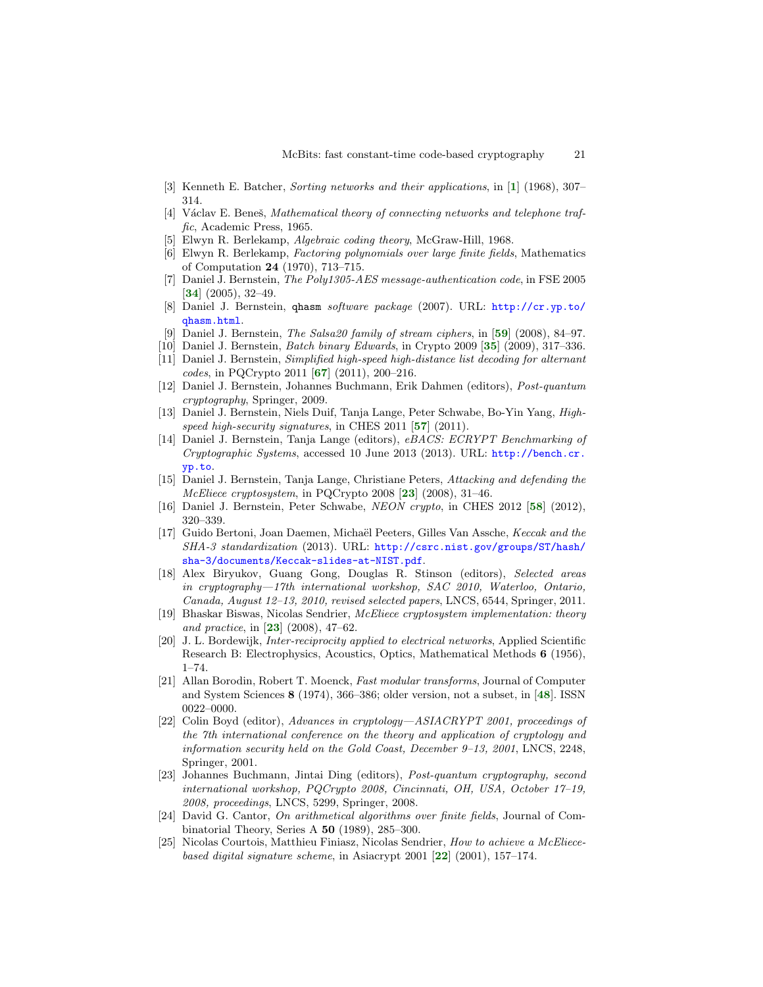- <span id="page-20-11"></span>[3] Kenneth E. Batcher, Sorting networks and their applications, in [[1](#page-19-1)] (1968), 307– 314.
- <span id="page-20-12"></span>[4] Václav E. Beneš, Mathematical theory of connecting networks and telephone traffic, Academic Press, 1965.
- <span id="page-20-16"></span>[5] Elwyn R. Berlekamp, Algebraic coding theory, McGraw-Hill, 1968.
- <span id="page-20-8"></span>[6] Elwyn R. Berlekamp, Factoring polynomials over large finite fields, Mathematics of Computation 24 (1970), 713–715.
- <span id="page-20-14"></span>[7] Daniel J. Bernstein, *The Poly1305-AES message-authentication code*, in FSE 2005 [[34](#page-21-13)] (2005), 32–49.
- <span id="page-20-10"></span>[8] Daniel J. Bernstein, qhasm software package (2007). URL: [http://cr.yp.to/](http://cr.yp.to/qhasm.html) [qhasm.html](http://cr.yp.to/qhasm.html).
- <span id="page-20-13"></span>[9] Daniel J. Bernstein, The Salsa20 family of stream ciphers, in [[59](#page-22-13)] (2008), 84–97.
- <span id="page-20-5"></span>[10] Daniel J. Bernstein, Batch binary Edwards, in Crypto 2009 [[35](#page-21-14)] (2009), 317–336.
- <span id="page-20-17"></span>[11] Daniel J. Bernstein, Simplified high-speed high-distance list decoding for alternant  $codes, in PQCrypto 2011 [67] (2011), 200-216.$  $codes, in PQCrypto 2011 [67] (2011), 200-216.$  $codes, in PQCrypto 2011 [67] (2011), 200-216.$
- <span id="page-20-22"></span>[12] Daniel J. Bernstein, Johannes Buchmann, Erik Dahmen (editors), Post-quantum cryptography, Springer, 2009.
- <span id="page-20-4"></span>[13] Daniel J. Bernstein, Niels Duif, Tanja Lange, Peter Schwabe, Bo-Yin Yang, High-speed high-security signatures, in CHES 2011 [[57](#page-22-15)]  $(2011)$ .
- <span id="page-20-3"></span>[14] Daniel J. Bernstein, Tanja Lange (editors), eBACS: ECRYPT Benchmarking of Cryptographic Systems, accessed 10 June 2013 (2013). URL: [http://bench.cr.](http://bench.cr.yp.to) [yp.to](http://bench.cr.yp.to).
- <span id="page-20-0"></span>[15] Daniel J. Bernstein, Tanja Lange, Christiane Peters, Attacking and defending the  $McEliece$  cryptosystem, in PQCrypto 2008 [[23](#page-20-19)] (2008), 31-46.
- <span id="page-20-2"></span>[16] Daniel J. Bernstein, Peter Schwabe, NEON crypto, in CHES 2012 [[58](#page-22-16)] (2012), 320–339.
- <span id="page-20-15"></span>[17] Guido Bertoni, Joan Daemen, Michaël Peeters, Gilles Van Assche, Keccak and the SHA-3 standardization (2013). URL: [http://csrc.nist.gov/groups/ST/hash/](http://csrc.nist.gov/groups/ST/hash/sha-3/documents/Keccak-slides-at-NIST.pdf) [sha-3/documents/Keccak-slides-at-NIST.pdf](http://csrc.nist.gov/groups/ST/hash/sha-3/documents/Keccak-slides-at-NIST.pdf).
- <span id="page-20-21"></span>[18] Alex Biryukov, Guang Gong, Douglas R. Stinson (editors), Selected areas in cryptography—17th international workshop, SAC 2010, Waterloo, Ontario, Canada, August 12–13, 2010, revised selected papers, LNCS, 6544, Springer, 2011.
- <span id="page-20-1"></span>[19] Bhaskar Biswas, Nicolas Sendrier, McEliece cryptosystem implementation: theory and practice, in [[23](#page-20-19)] (2008), 47–62.
- <span id="page-20-9"></span>[20] J. L. Bordewijk, Inter-reciprocity applied to electrical networks, Applied Scientific Research B: Electrophysics, Acoustics, Optics, Mathematical Methods 6 (1956), 1–74.
- <span id="page-20-6"></span>[21] Allan Borodin, Robert T. Moenck, Fast modular transforms, Journal of Computer and System Sciences 8 (1974), 366–386; older version, not a subset, in [[48](#page-22-17)]. ISSN 0022–0000.
- <span id="page-20-20"></span>[22] Colin Boyd (editor), Advances in cryptology—ASIACRYPT 2001, proceedings of the 7th international conference on the theory and application of cryptology and information security held on the Gold Coast, December 9–13, 2001, LNCS, 2248, Springer, 2001.
- <span id="page-20-19"></span>[23] Johannes Buchmann, Jintai Ding (editors), Post-quantum cryptography, second international workshop, PQCrypto 2008, Cincinnati, OH, USA, October 17–19, 2008, proceedings, LNCS, 5299, Springer, 2008.
- <span id="page-20-7"></span>[24] David G. Cantor, On arithmetical algorithms over finite fields, Journal of Combinatorial Theory, Series A 50 (1989), 285–300.
- <span id="page-20-18"></span>[25] Nicolas Courtois, Matthieu Finiasz, Nicolas Sendrier, How to achieve a McEliecebased digital signature scheme, in Asiacrypt 2001 [[22](#page-20-20)] (2001), 157–174.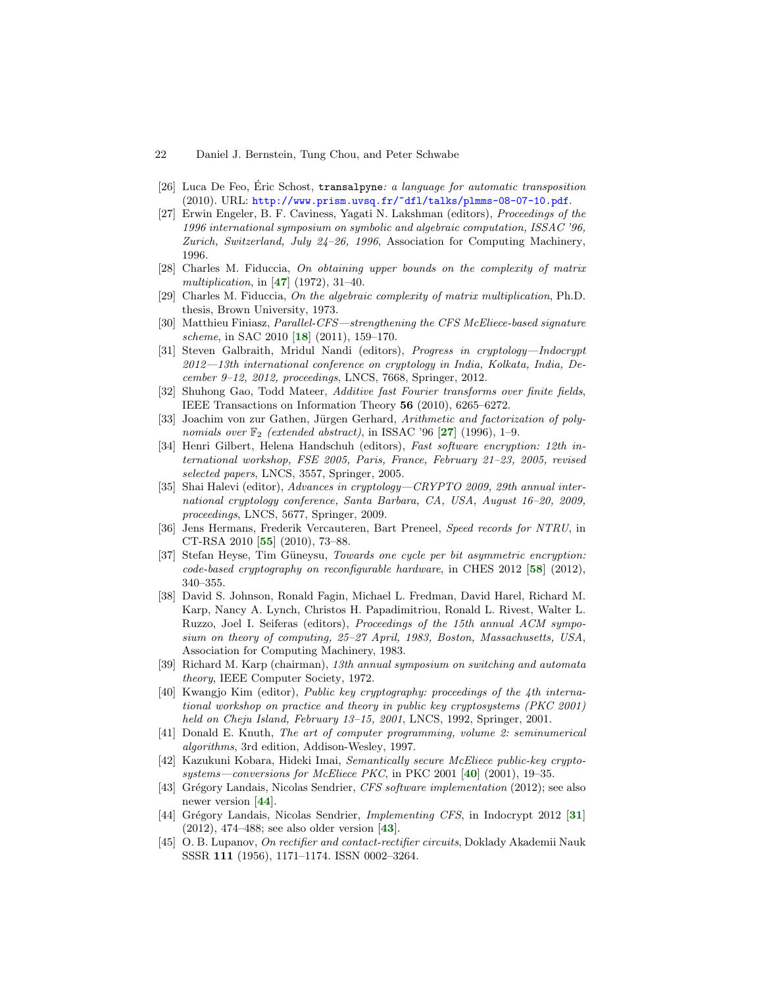- <span id="page-21-8"></span>[26] Luca De Feo, Eric Schost,  $translpyne: a$  language for automatic transposition (2010). URL: <http://www.prism.uvsq.fr/~dfl/talks/plmms-08-07-10.pdf>.
- <span id="page-21-15"></span>[27] Erwin Engeler, B. F. Caviness, Yagati N. Lakshman (editors), Proceedings of the 1996 international symposium on symbolic and algebraic computation, ISSAC '96, Zurich, Switzerland, July 24–26, 1996, Association for Computing Machinery, 1996.
- <span id="page-21-7"></span>[28] Charles M. Fiduccia, On obtaining upper bounds on the complexity of matrix multiplication, in [[47](#page-22-18)] (1972), 31-40.
- <span id="page-21-6"></span>[29] Charles M. Fiduccia, On the algebraic complexity of matrix multiplication, Ph.D. thesis, Brown University, 1973.
- <span id="page-21-11"></span>[30] Matthieu Finiasz, Parallel-CFS—strengthening the CFS McEliece-based signature scheme, in SAC 2010 [[18](#page-20-21)] (2011), 159–170.
- <span id="page-21-17"></span>[31] Steven Galbraith, Mridul Nandi (editors), Progress in cryptology—Indocrypt 2012—13th international conference on cryptology in India, Kolkata, India, December 9–12, 2012, proceedings, LNCS, 7668, Springer, 2012.
- <span id="page-21-2"></span>[32] Shuhong Gao, Todd Mateer, Additive fast Fourier transforms over finite fields, IEEE Transactions on Information Theory 56 (2010), 6265–6272.
- <span id="page-21-3"></span>[33] Joachim von zur Gathen, Jürgen Gerhard, Arithmetic and factorization of polynomials over  $\mathbb{F}_2$  (extended abstract), in ISSAC '96 [[27](#page-21-15)] (1996), 1–9.
- <span id="page-21-13"></span>[34] Henri Gilbert, Helena Handschuh (editors), Fast software encryption: 12th international workshop, FSE 2005, Paris, France, February 21–23, 2005, revised selected papers, LNCS, 3557, Springer, 2005.
- <span id="page-21-14"></span>[35] Shai Halevi (editor), Advances in cryptology—CRYPTO 2009, 29th annual international cryptology conference, Santa Barbara, CA, USA, August 16–20, 2009, proceedings, LNCS, 5677, Springer, 2009.
- <span id="page-21-1"></span>[36] Jens Hermans, Frederik Vercauteren, Bart Preneel, Speed records for NTRU, in CT-RSA 2010 [[55](#page-22-19)] (2010), 73–88.
- <span id="page-21-0"></span>[37] Stefan Heyse, Tim Güneysu, Towards one cycle per bit asymmetric encryption:  $code-based cryptography on reconfigurable hardware, in CHES 2012 [58] (2012),$  $code-based cryptography on reconfigurable hardware, in CHES 2012 [58] (2012),$  $code-based cryptography on reconfigurable hardware, in CHES 2012 [58] (2012),$ 340–355.
- <span id="page-21-12"></span>[38] David S. Johnson, Ronald Fagin, Michael L. Fredman, David Harel, Richard M. Karp, Nancy A. Lynch, Christos H. Papadimitriou, Ronald L. Rivest, Walter L. Ruzzo, Joel I. Seiferas (editors), Proceedings of the 15th annual ACM symposium on theory of computing, 25–27 April, 1983, Boston, Massachusetts, USA, Association for Computing Machinery, 1983.
- <span id="page-21-19"></span>[39] Richard M. Karp (chairman), 13th annual symposium on switching and automata theory, IEEE Computer Society, 1972.
- <span id="page-21-16"></span>[40] Kwangjo Kim (editor), Public key cryptography: proceedings of the 4th international workshop on practice and theory in public key cryptosystems (PKC 2001) held on Cheju Island, February 13-15, 2001, LNCS, 1992, Springer, 2001.
- <span id="page-21-4"></span>[41] Donald E. Knuth, The art of computer programming, volume 2: seminumerical algorithms, 3rd edition, Addison-Wesley, 1997.
- <span id="page-21-9"></span>[42] Kazukuni Kobara, Hideki Imai, Semantically secure McEliece public-key cryptosystems—conversions for McEliece PKC, in PKC 2001  $[40]$  $[40]$  $[40]$  (2001), 19-35.
- <span id="page-21-18"></span>[43] Grégory Landais, Nicolas Sendrier, CFS software implementation (2012); see also newer version [[44](#page-21-10)].
- <span id="page-21-10"></span>[44] Grégory Landais, Nicolas Sendrier, *Implementing CFS*, in Indocrypt 2012 [[31](#page-21-17)]  $(2012), 474-488$ ; see also older version  $[43]$  $[43]$  $[43]$ .
- <span id="page-21-5"></span>[45] O. B. Lupanov, On rectifier and contact-rectifier circuits, Doklady Akademii Nauk SSSR 111 (1956), 1171–1174. ISSN 0002–3264.